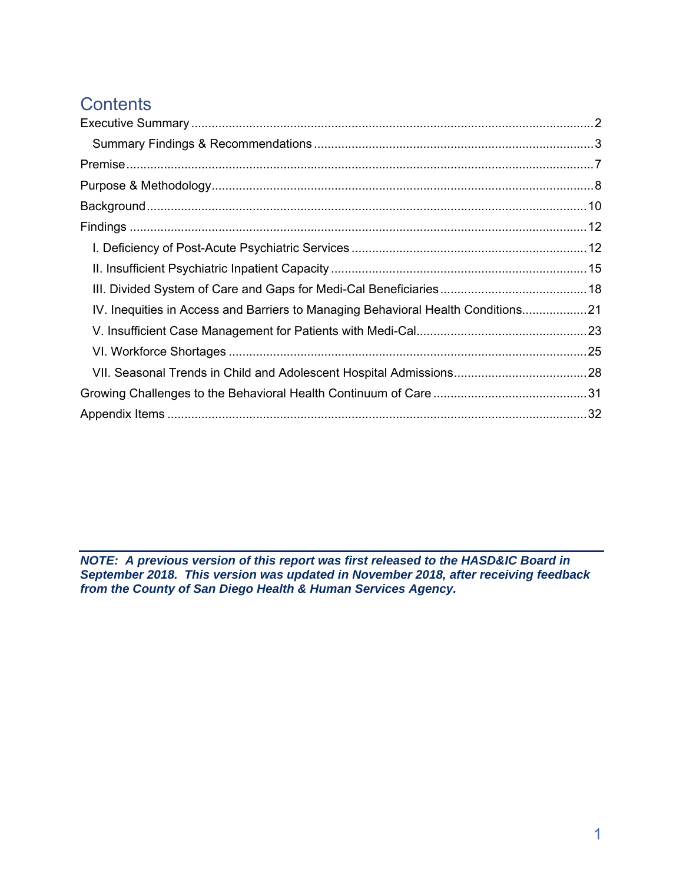# **Contents**

| IV. Inequities in Access and Barriers to Managing Behavioral Health Conditions21 |  |
|----------------------------------------------------------------------------------|--|
|                                                                                  |  |
|                                                                                  |  |
|                                                                                  |  |
|                                                                                  |  |
|                                                                                  |  |

*NOTE: A previous version of this report was first released to the HASD&IC Board in September 2018. This version was updated in November 2018, after receiving feedback from the County of San Diego Health & Human Services Agency.*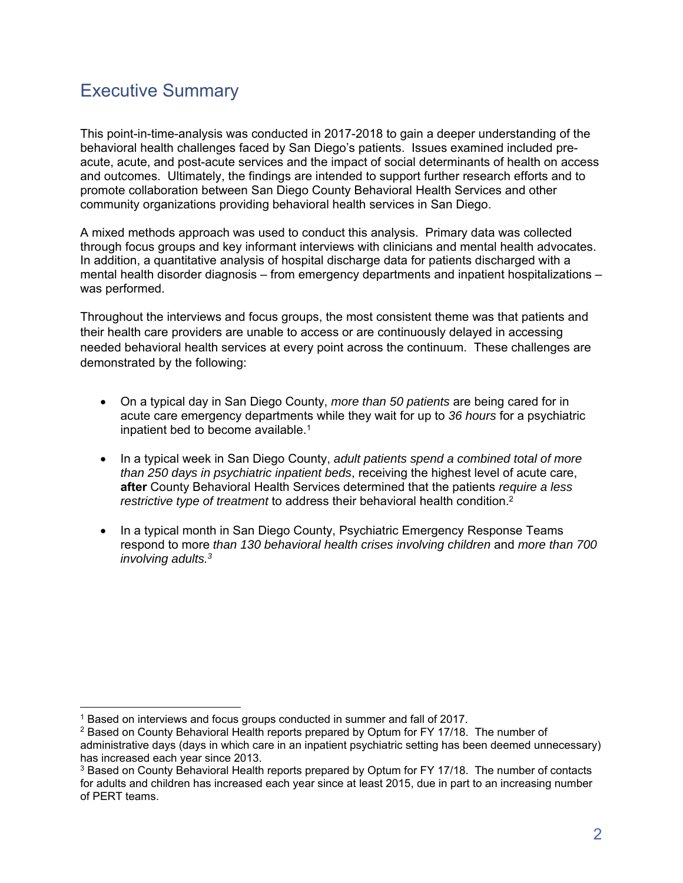# Executive Summary

This point-in-time-analysis was conducted in 2017-2018 to gain a deeper understanding of the behavioral health challenges faced by San Diego's patients. Issues examined included preacute, acute, and post-acute services and the impact of social determinants of health on access and outcomes. Ultimately, the findings are intended to support further research efforts and to promote collaboration between San Diego County Behavioral Health Services and other community organizations providing behavioral health services in San Diego.

A mixed methods approach was used to conduct this analysis. Primary data was collected through focus groups and key informant interviews with clinicians and mental health advocates. In addition, a quantitative analysis of hospital discharge data for patients discharged with a mental health disorder diagnosis – from emergency departments and inpatient hospitalizations – was performed.

Throughout the interviews and focus groups, the most consistent theme was that patients and their health care providers are unable to access or are continuously delayed in accessing needed behavioral health services at every point across the continuum. These challenges are demonstrated by the following:

- On a typical day in San Diego County, *more than 50 patients* are being cared for in acute care emergency departments while they wait for up to *36 hours* for a psychiatric inpatient bed to become available.<sup>1</sup>
- In a typical week in San Diego County, *adult patients spend a combined total of more than 250 days in psychiatric inpatient beds*, receiving the highest level of acute care, **after** County Behavioral Health Services determined that the patients *require a less restrictive type of treatment* to address their behavioral health condition.<sup>2</sup>
- In a typical month in San Diego County, Psychiatric Emergency Response Teams respond to more *than 130 behavioral health crises involving children* and *more than 700 involving adults.3*

<sup>-</sup><sup>1</sup> Based on interviews and focus groups conducted in summer and fall of 2017.

<sup>2</sup> Based on County Behavioral Health reports prepared by Optum for FY 17/18. The number of administrative days (days in which care in an inpatient psychiatric setting has been deemed unnecessary) has increased each year since 2013.

<sup>&</sup>lt;sup>3</sup> Based on County Behavioral Health reports prepared by Optum for FY 17/18. The number of contacts for adults and children has increased each year since at least 2015, due in part to an increasing number of PERT teams.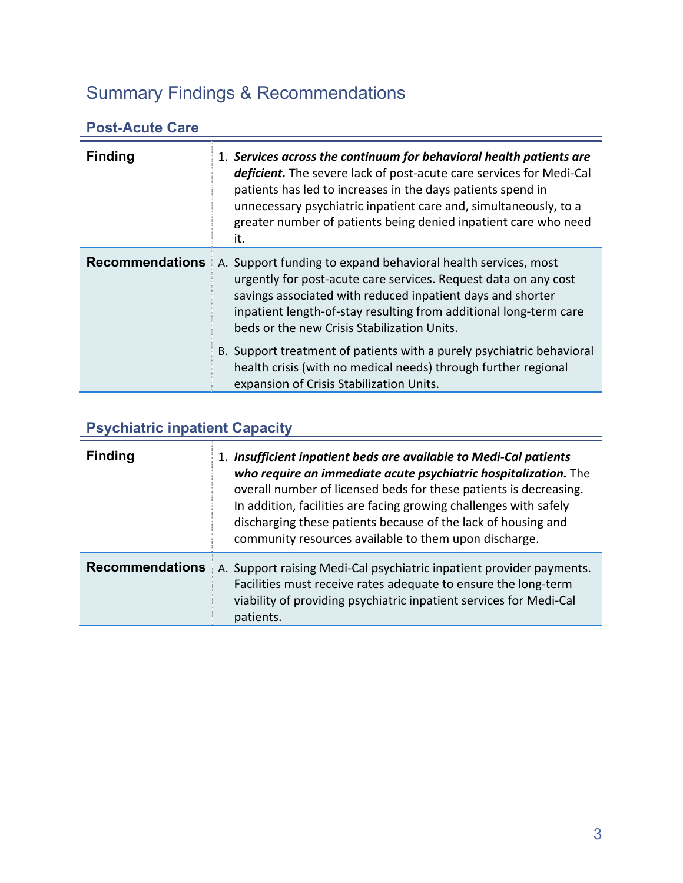# Summary Findings & Recommendations

# **Post-Acute Care**

| <b>Finding</b>         | 1. Services across the continuum for behavioral health patients are<br>deficient. The severe lack of post-acute care services for Medi-Cal<br>patients has led to increases in the days patients spend in<br>unnecessary psychiatric inpatient care and, simultaneously, to a<br>greater number of patients being denied inpatient care who need<br>it. |
|------------------------|---------------------------------------------------------------------------------------------------------------------------------------------------------------------------------------------------------------------------------------------------------------------------------------------------------------------------------------------------------|
| <b>Recommendations</b> | A. Support funding to expand behavioral health services, most<br>urgently for post-acute care services. Request data on any cost<br>savings associated with reduced inpatient days and shorter<br>inpatient length-of-stay resulting from additional long-term care<br>beds or the new Crisis Stabilization Units.                                      |
|                        | B. Support treatment of patients with a purely psychiatric behavioral<br>health crisis (with no medical needs) through further regional<br>expansion of Crisis Stabilization Units.                                                                                                                                                                     |

# **Psychiatric inpatient Capacity**

| <b>Finding</b>         | 1. Insufficient inpatient beds are available to Medi-Cal patients<br>who require an immediate acute psychiatric hospitalization. The<br>overall number of licensed beds for these patients is decreasing.<br>In addition, facilities are facing growing challenges with safely<br>discharging these patients because of the lack of housing and<br>community resources available to them upon discharge. |
|------------------------|----------------------------------------------------------------------------------------------------------------------------------------------------------------------------------------------------------------------------------------------------------------------------------------------------------------------------------------------------------------------------------------------------------|
| <b>Recommendations</b> | A. Support raising Medi-Cal psychiatric inpatient provider payments.<br>Facilities must receive rates adequate to ensure the long-term<br>viability of providing psychiatric inpatient services for Medi-Cal<br>patients.                                                                                                                                                                                |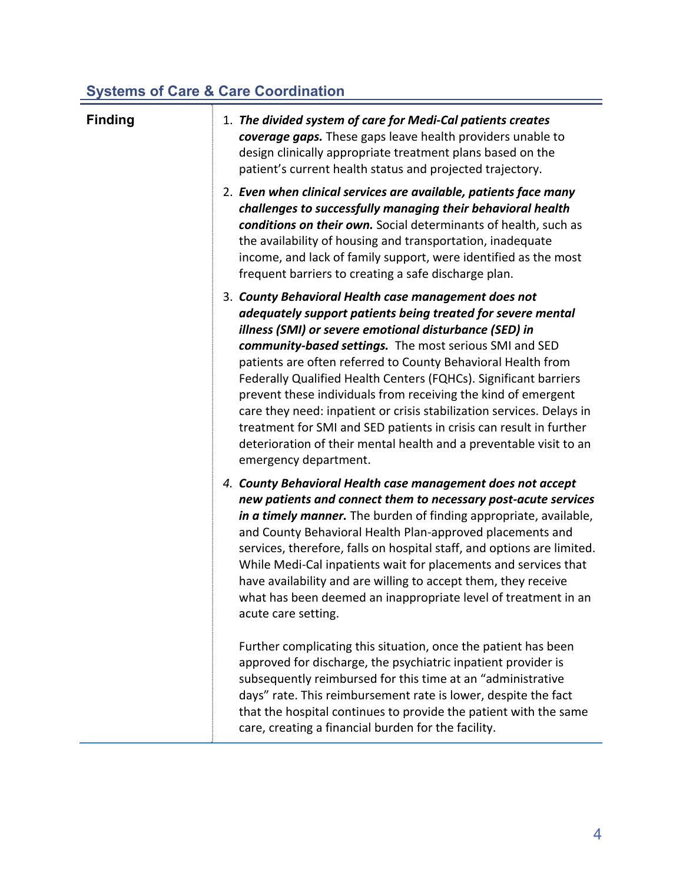# **Systems of Care & Care Coordination**

| <b>Finding</b> | 1. The divided system of care for Medi-Cal patients creates<br>coverage gaps. These gaps leave health providers unable to<br>design clinically appropriate treatment plans based on the<br>patient's current health status and projected trajectory.                                                                                                                                                                                                                                                                                                                                                                                                                                       |
|----------------|--------------------------------------------------------------------------------------------------------------------------------------------------------------------------------------------------------------------------------------------------------------------------------------------------------------------------------------------------------------------------------------------------------------------------------------------------------------------------------------------------------------------------------------------------------------------------------------------------------------------------------------------------------------------------------------------|
|                | 2. Even when clinical services are available, patients face many<br>challenges to successfully managing their behavioral health<br>conditions on their own. Social determinants of health, such as<br>the availability of housing and transportation, inadequate<br>income, and lack of family support, were identified as the most<br>frequent barriers to creating a safe discharge plan.                                                                                                                                                                                                                                                                                                |
|                | 3. County Behavioral Health case management does not<br>adequately support patients being treated for severe mental<br>illness (SMI) or severe emotional disturbance (SED) in<br>community-based settings. The most serious SMI and SED<br>patients are often referred to County Behavioral Health from<br>Federally Qualified Health Centers (FQHCs). Significant barriers<br>prevent these individuals from receiving the kind of emergent<br>care they need: inpatient or crisis stabilization services. Delays in<br>treatment for SMI and SED patients in crisis can result in further<br>deterioration of their mental health and a preventable visit to an<br>emergency department. |
|                | 4. County Behavioral Health case management does not accept<br>new patients and connect them to necessary post-acute services<br>in a timely manner. The burden of finding appropriate, available,<br>and County Behavioral Health Plan-approved placements and<br>services, therefore, falls on hospital staff, and options are limited.<br>While Medi-Cal inpatients wait for placements and services that<br>have availability and are willing to accept them, they receive<br>what has been deemed an inappropriate level of treatment in an<br>acute care setting.                                                                                                                    |
|                | Further complicating this situation, once the patient has been<br>approved for discharge, the psychiatric inpatient provider is<br>subsequently reimbursed for this time at an "administrative<br>days" rate. This reimbursement rate is lower, despite the fact<br>that the hospital continues to provide the patient with the same<br>care, creating a financial burden for the facility.                                                                                                                                                                                                                                                                                                |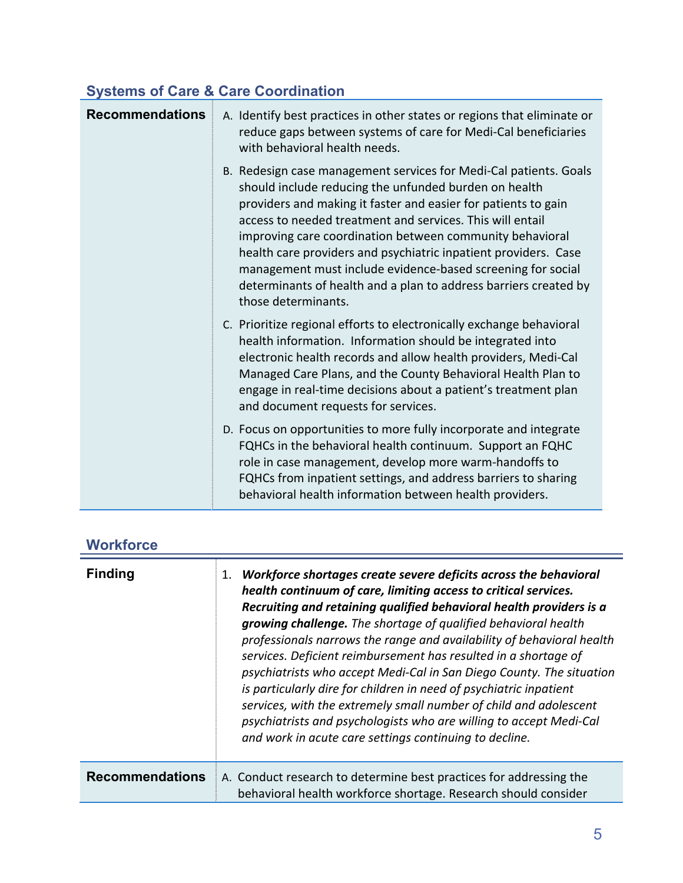# **Systems of Care & Care Coordination**

| <b>Recommendations</b> | A. Identify best practices in other states or regions that eliminate or<br>reduce gaps between systems of care for Medi-Cal beneficiaries<br>with behavioral health needs.                                                                                                                                                                                                                                                                                                                                                                         |
|------------------------|----------------------------------------------------------------------------------------------------------------------------------------------------------------------------------------------------------------------------------------------------------------------------------------------------------------------------------------------------------------------------------------------------------------------------------------------------------------------------------------------------------------------------------------------------|
|                        | B. Redesign case management services for Medi-Cal patients. Goals<br>should include reducing the unfunded burden on health<br>providers and making it faster and easier for patients to gain<br>access to needed treatment and services. This will entail<br>improving care coordination between community behavioral<br>health care providers and psychiatric inpatient providers. Case<br>management must include evidence-based screening for social<br>determinants of health and a plan to address barriers created by<br>those determinants. |
|                        | C. Prioritize regional efforts to electronically exchange behavioral<br>health information. Information should be integrated into<br>electronic health records and allow health providers, Medi-Cal<br>Managed Care Plans, and the County Behavioral Health Plan to<br>engage in real-time decisions about a patient's treatment plan<br>and document requests for services.                                                                                                                                                                       |
|                        | D. Focus on opportunities to more fully incorporate and integrate<br>FQHCs in the behavioral health continuum. Support an FQHC<br>role in case management, develop more warm-handoffs to<br>FQHCs from inpatient settings, and address barriers to sharing<br>behavioral health information between health providers.                                                                                                                                                                                                                              |

| <b>Workforce</b> |  |
|------------------|--|
|------------------|--|

| <b>Finding</b>         | Workforce shortages create severe deficits across the behavioral<br>1.<br>health continuum of care, limiting access to critical services.<br>Recruiting and retaining qualified behavioral health providers is a<br>growing challenge. The shortage of qualified behavioral health<br>professionals narrows the range and availability of behavioral health<br>services. Deficient reimbursement has resulted in a shortage of<br>psychiatrists who accept Medi-Cal in San Diego County. The situation<br>is particularly dire for children in need of psychiatric inpatient<br>services, with the extremely small number of child and adolescent<br>psychiatrists and psychologists who are willing to accept Medi-Cal<br>and work in acute care settings continuing to decline. |
|------------------------|-----------------------------------------------------------------------------------------------------------------------------------------------------------------------------------------------------------------------------------------------------------------------------------------------------------------------------------------------------------------------------------------------------------------------------------------------------------------------------------------------------------------------------------------------------------------------------------------------------------------------------------------------------------------------------------------------------------------------------------------------------------------------------------|
| <b>Recommendations</b> | A. Conduct research to determine best practices for addressing the<br>behavioral health workforce shortage. Research should consider                                                                                                                                                                                                                                                                                                                                                                                                                                                                                                                                                                                                                                              |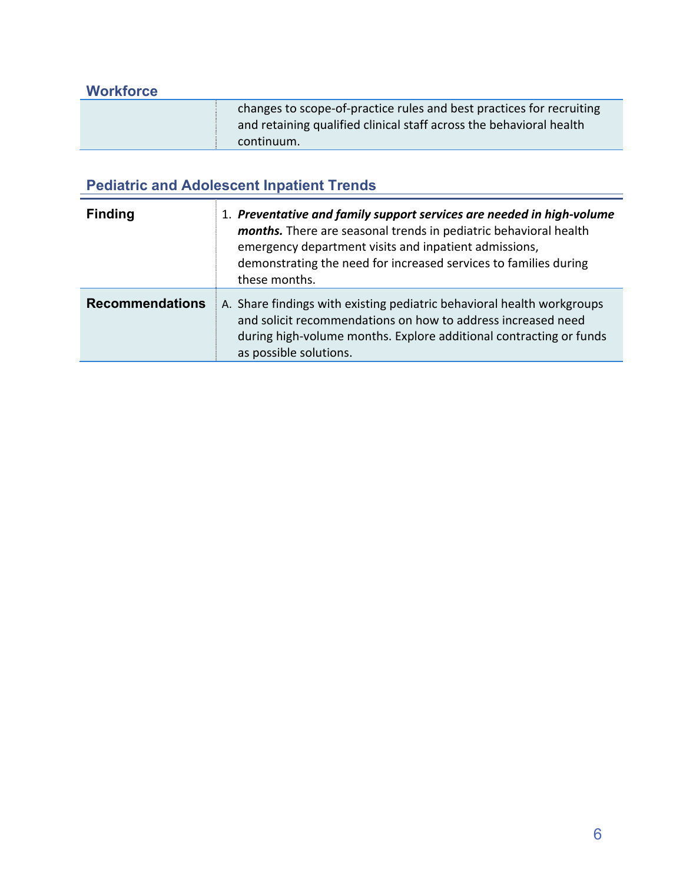| <b>Workforce</b> |                                                                                                                                                           |
|------------------|-----------------------------------------------------------------------------------------------------------------------------------------------------------|
|                  | changes to scope-of-practice rules and best practices for recruiting<br>and retaining qualified clinical staff across the behavioral health<br>continuum. |

# **Pediatric and Adolescent Inpatient Trends**

| <b>Finding</b>         | 1. Preventative and family support services are needed in high-volume<br>months. There are seasonal trends in pediatric behavioral health<br>emergency department visits and inpatient admissions,<br>demonstrating the need for increased services to families during<br>these months. |
|------------------------|-----------------------------------------------------------------------------------------------------------------------------------------------------------------------------------------------------------------------------------------------------------------------------------------|
| <b>Recommendations</b> | A. Share findings with existing pediatric behavioral health workgroups<br>and solicit recommendations on how to address increased need<br>during high-volume months. Explore additional contracting or funds<br>as possible solutions.                                                  |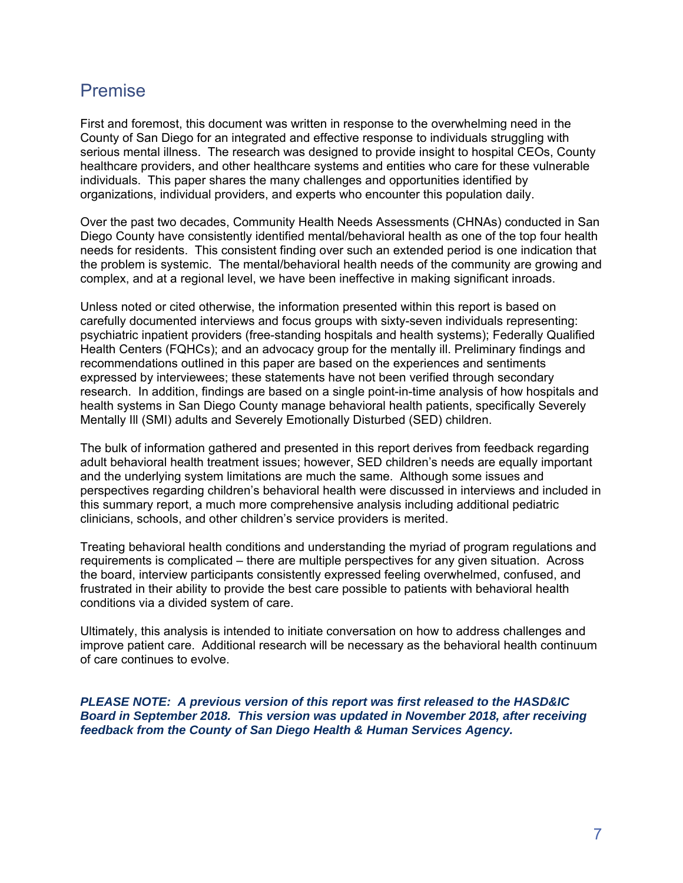# Premise

First and foremost, this document was written in response to the overwhelming need in the County of San Diego for an integrated and effective response to individuals struggling with serious mental illness. The research was designed to provide insight to hospital CEOs, County healthcare providers, and other healthcare systems and entities who care for these vulnerable individuals. This paper shares the many challenges and opportunities identified by organizations, individual providers, and experts who encounter this population daily.

Over the past two decades, Community Health Needs Assessments (CHNAs) conducted in San Diego County have consistently identified mental/behavioral health as one of the top four health needs for residents. This consistent finding over such an extended period is one indication that the problem is systemic. The mental/behavioral health needs of the community are growing and complex, and at a regional level, we have been ineffective in making significant inroads.

Unless noted or cited otherwise, the information presented within this report is based on carefully documented interviews and focus groups with sixty-seven individuals representing: psychiatric inpatient providers (free-standing hospitals and health systems); Federally Qualified Health Centers (FQHCs); and an advocacy group for the mentally ill. Preliminary findings and recommendations outlined in this paper are based on the experiences and sentiments expressed by interviewees; these statements have not been verified through secondary research. In addition, findings are based on a single point-in-time analysis of how hospitals and health systems in San Diego County manage behavioral health patients, specifically Severely Mentally Ill (SMI) adults and Severely Emotionally Disturbed (SED) children.

The bulk of information gathered and presented in this report derives from feedback regarding adult behavioral health treatment issues; however, SED children's needs are equally important and the underlying system limitations are much the same. Although some issues and perspectives regarding children's behavioral health were discussed in interviews and included in this summary report, a much more comprehensive analysis including additional pediatric clinicians, schools, and other children's service providers is merited.

Treating behavioral health conditions and understanding the myriad of program regulations and requirements is complicated – there are multiple perspectives for any given situation. Across the board, interview participants consistently expressed feeling overwhelmed, confused, and frustrated in their ability to provide the best care possible to patients with behavioral health conditions via a divided system of care.

Ultimately, this analysis is intended to initiate conversation on how to address challenges and improve patient care. Additional research will be necessary as the behavioral health continuum of care continues to evolve.

*PLEASE NOTE: A previous version of this report was first released to the HASD&IC Board in September 2018. This version was updated in November 2018, after receiving feedback from the County of San Diego Health & Human Services Agency.*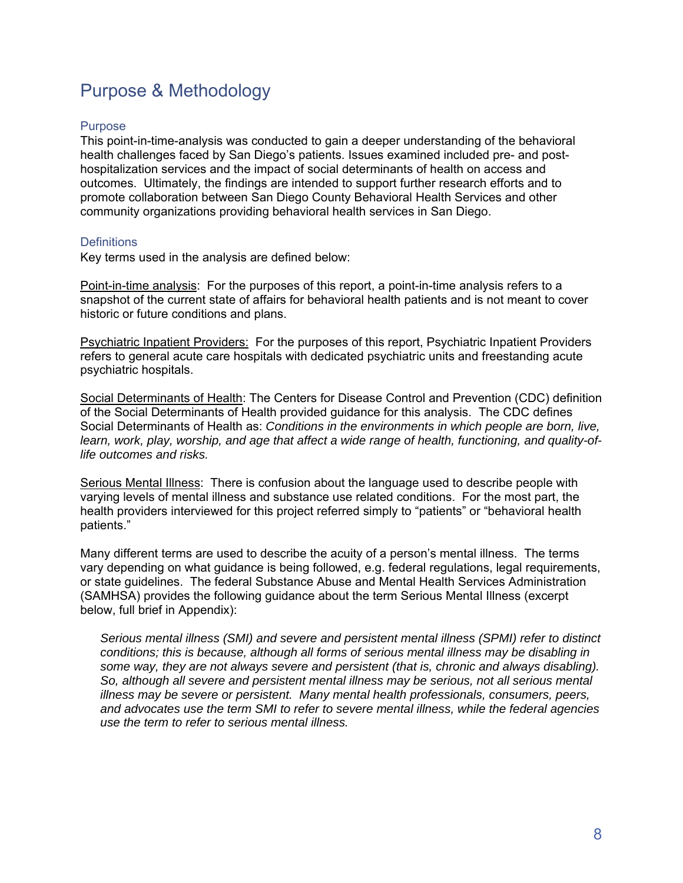# Purpose & Methodology

## Purpose

This point-in-time-analysis was conducted to gain a deeper understanding of the behavioral health challenges faced by San Diego's patients. Issues examined included pre- and posthospitalization services and the impact of social determinants of health on access and outcomes. Ultimately, the findings are intended to support further research efforts and to promote collaboration between San Diego County Behavioral Health Services and other community organizations providing behavioral health services in San Diego.

## **Definitions**

Key terms used in the analysis are defined below:

Point-in-time analysis: For the purposes of this report, a point-in-time analysis refers to a snapshot of the current state of affairs for behavioral health patients and is not meant to cover historic or future conditions and plans.

Psychiatric Inpatient Providers: For the purposes of this report, Psychiatric Inpatient Providers refers to general acute care hospitals with dedicated psychiatric units and freestanding acute psychiatric hospitals.

Social Determinants of Health: The Centers for Disease Control and Prevention (CDC) definition of the Social Determinants of Health provided guidance for this analysis. The CDC defines Social Determinants of Health as: *Conditions in the environments in which people are born, live, learn, work, play, worship, and age that affect a wide range of health, functioning, and quality-oflife outcomes and risks.* 

Serious Mental Illness: There is confusion about the language used to describe people with varying levels of mental illness and substance use related conditions. For the most part, the health providers interviewed for this project referred simply to "patients" or "behavioral health patients."

Many different terms are used to describe the acuity of a person's mental illness. The terms vary depending on what guidance is being followed, e.g. federal regulations, legal requirements, or state guidelines. The federal Substance Abuse and Mental Health Services Administration (SAMHSA) provides the following guidance about the term Serious Mental Illness (excerpt below, full brief in Appendix):

*Serious mental illness (SMI) and severe and persistent mental illness (SPMI) refer to distinct conditions; this is because, although all forms of serious mental illness may be disabling in some way, they are not always severe and persistent (that is, chronic and always disabling). So, although all severe and persistent mental illness may be serious, not all serious mental illness may be severe or persistent. Many mental health professionals, consumers, peers, and advocates use the term SMI to refer to severe mental illness, while the federal agencies use the term to refer to serious mental illness.*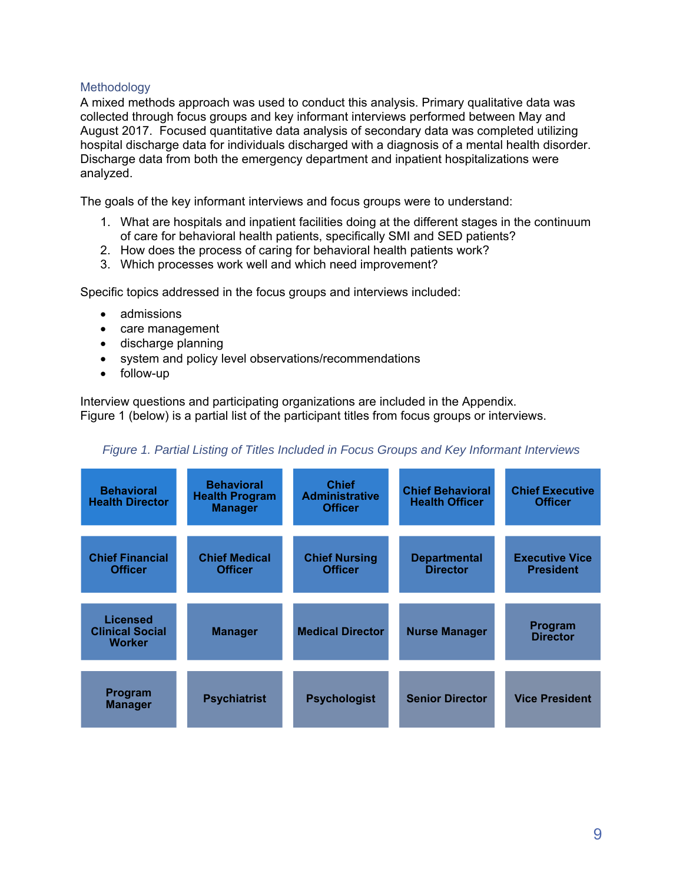## Methodology

A mixed methods approach was used to conduct this analysis. Primary qualitative data was collected through focus groups and key informant interviews performed between May and August 2017. Focused quantitative data analysis of secondary data was completed utilizing hospital discharge data for individuals discharged with a diagnosis of a mental health disorder. Discharge data from both the emergency department and inpatient hospitalizations were analyzed.

The goals of the key informant interviews and focus groups were to understand:

- 1. What are hospitals and inpatient facilities doing at the different stages in the continuum of care for behavioral health patients, specifically SMI and SED patients?
- 2. How does the process of caring for behavioral health patients work?
- 3. Which processes work well and which need improvement?

Specific topics addressed in the focus groups and interviews included:

- admissions
- care management
- discharge planning
- system and policy level observations/recommendations
- follow-up

Interview questions and participating organizations are included in the Appendix. Figure 1 (below) is a partial list of the participant titles from focus groups or interviews.

## *Figure 1. Partial Listing of Titles Included in Focus Groups and Key Informant Interviews*

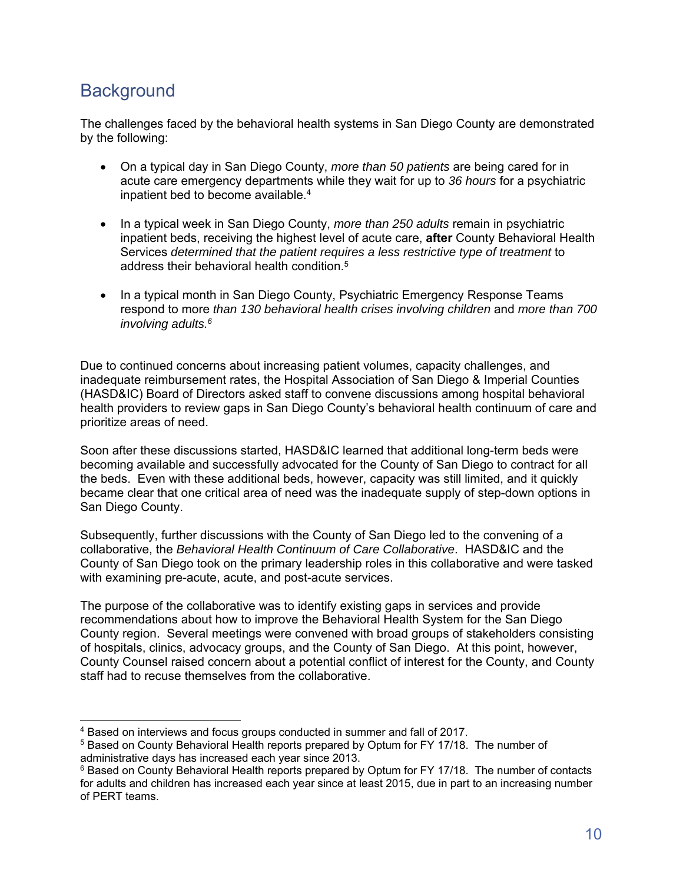# **Background**

The challenges faced by the behavioral health systems in San Diego County are demonstrated by the following:

- On a typical day in San Diego County, *more than 50 patients* are being cared for in acute care emergency departments while they wait for up to *36 hours* for a psychiatric inpatient bed to become available.<sup>4</sup>
- In a typical week in San Diego County, *more than 250 adults* remain in psychiatric inpatient beds, receiving the highest level of acute care, **after** County Behavioral Health Services *determined that the patient requires a less restrictive type of treatment* to address their behavioral health condition.5
- In a typical month in San Diego County, Psychiatric Emergency Response Teams respond to more *than 130 behavioral health crises involving children* and *more than 700 involving adults.6*

Due to continued concerns about increasing patient volumes, capacity challenges, and inadequate reimbursement rates, the Hospital Association of San Diego & Imperial Counties (HASD&IC) Board of Directors asked staff to convene discussions among hospital behavioral health providers to review gaps in San Diego County's behavioral health continuum of care and prioritize areas of need.

Soon after these discussions started, HASD&IC learned that additional long-term beds were becoming available and successfully advocated for the County of San Diego to contract for all the beds. Even with these additional beds, however, capacity was still limited, and it quickly became clear that one critical area of need was the inadequate supply of step-down options in San Diego County.

Subsequently, further discussions with the County of San Diego led to the convening of a collaborative, the *Behavioral Health Continuum of Care Collaborative*. HASD&IC and the County of San Diego took on the primary leadership roles in this collaborative and were tasked with examining pre-acute, acute, and post-acute services.

The purpose of the collaborative was to identify existing gaps in services and provide recommendations about how to improve the Behavioral Health System for the San Diego County region. Several meetings were convened with broad groups of stakeholders consisting of hospitals, clinics, advocacy groups, and the County of San Diego. At this point, however, County Counsel raised concern about a potential conflict of interest for the County, and County staff had to recuse themselves from the collaborative.

<sup>-</sup>4 Based on interviews and focus groups conducted in summer and fall of 2017.

<sup>5</sup> Based on County Behavioral Health reports prepared by Optum for FY 17/18. The number of administrative days has increased each year since 2013.

<sup>&</sup>lt;sup>6</sup> Based on County Behavioral Health reports prepared by Optum for FY 17/18. The number of contacts for adults and children has increased each year since at least 2015, due in part to an increasing number of PERT teams.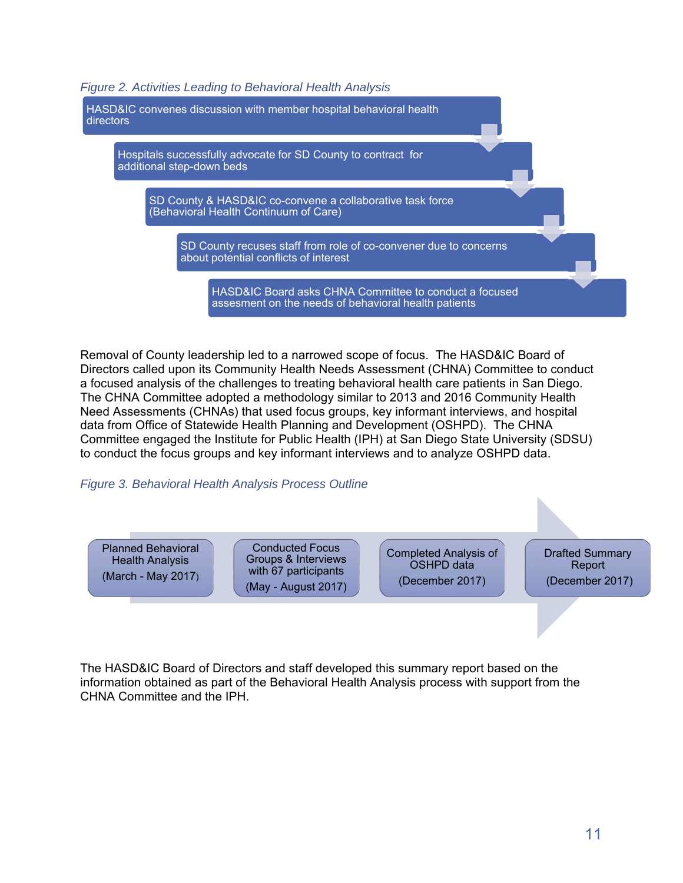*Figure 2. Activities Leading to Behavioral Health Analysis* 



Removal of County leadership led to a narrowed scope of focus. The HASD&IC Board of Directors called upon its Community Health Needs Assessment (CHNA) Committee to conduct a focused analysis of the challenges to treating behavioral health care patients in San Diego. The CHNA Committee adopted a methodology similar to 2013 and 2016 Community Health Need Assessments (CHNAs) that used focus groups, key informant interviews, and hospital data from Office of Statewide Health Planning and Development (OSHPD). The CHNA Committee engaged the Institute for Public Health (IPH) at San Diego State University (SDSU) to conduct the focus groups and key informant interviews and to analyze OSHPD data.

*Figure 3. Behavioral Health Analysis Process Outline* 



The HASD&IC Board of Directors and staff developed this summary report based on the information obtained as part of the Behavioral Health Analysis process with support from the CHNA Committee and the IPH.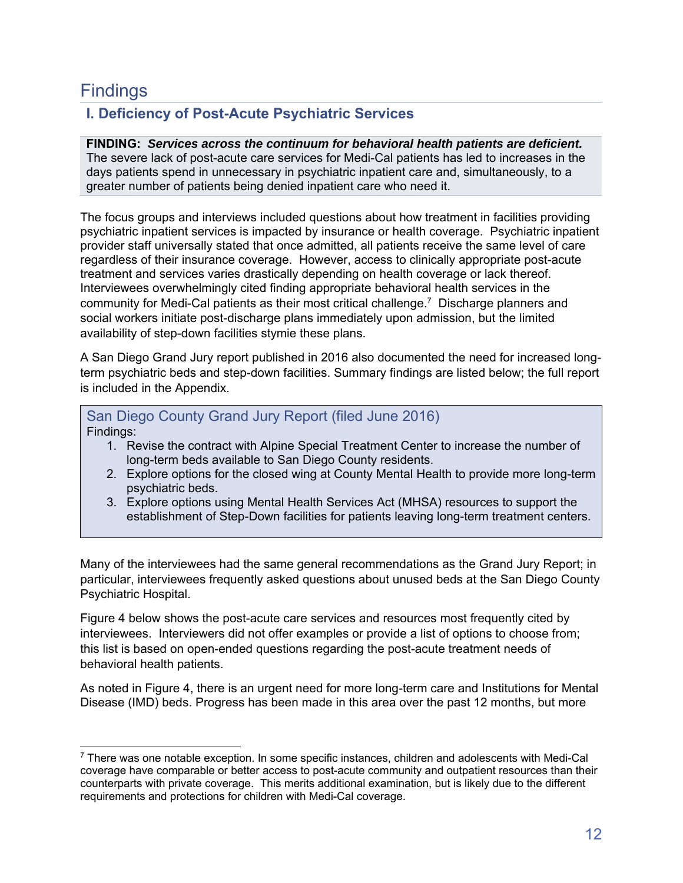# **Findings**

# **I. Deficiency of Post-Acute Psychiatric Services**

## **FINDING:** *Services across the continuum for behavioral health patients are deficient.* The severe lack of post-acute care services for Medi-Cal patients has led to increases in the days patients spend in unnecessary in psychiatric inpatient care and, simultaneously, to a greater number of patients being denied inpatient care who need it.

The focus groups and interviews included questions about how treatment in facilities providing psychiatric inpatient services is impacted by insurance or health coverage. Psychiatric inpatient provider staff universally stated that once admitted, all patients receive the same level of care regardless of their insurance coverage. However, access to clinically appropriate post-acute treatment and services varies drastically depending on health coverage or lack thereof. Interviewees overwhelmingly cited finding appropriate behavioral health services in the community for Medi-Cal patients as their most critical challenge.7 Discharge planners and social workers initiate post-discharge plans immediately upon admission, but the limited availability of step-down facilities stymie these plans.

A San Diego Grand Jury report published in 2016 also documented the need for increased longterm psychiatric beds and step-down facilities. Summary findings are listed below; the full report is included in the Appendix.

## San Diego County Grand Jury Report (filed June 2016) Findings:

- 1. Revise the contract with Alpine Special Treatment Center to increase the number of long-term beds available to San Diego County residents.
- 2. Explore options for the closed wing at County Mental Health to provide more long-term psychiatric beds.
- 3. Explore options using Mental Health Services Act (MHSA) resources to support the establishment of Step-Down facilities for patients leaving long-term treatment centers.

Many of the interviewees had the same general recommendations as the Grand Jury Report; in particular, interviewees frequently asked questions about unused beds at the San Diego County Psychiatric Hospital.

Figure 4 below shows the post-acute care services and resources most frequently cited by interviewees. Interviewers did not offer examples or provide a list of options to choose from; this list is based on open-ended questions regarding the post-acute treatment needs of behavioral health patients.

As noted in Figure 4, there is an urgent need for more long-term care and Institutions for Mental Disease (IMD) beds. Progress has been made in this area over the past 12 months, but more

 $7$  There was one notable exception. In some specific instances, children and adolescents with Medi-Cal coverage have comparable or better access to post-acute community and outpatient resources than their counterparts with private coverage. This merits additional examination, but is likely due to the different requirements and protections for children with Medi-Cal coverage.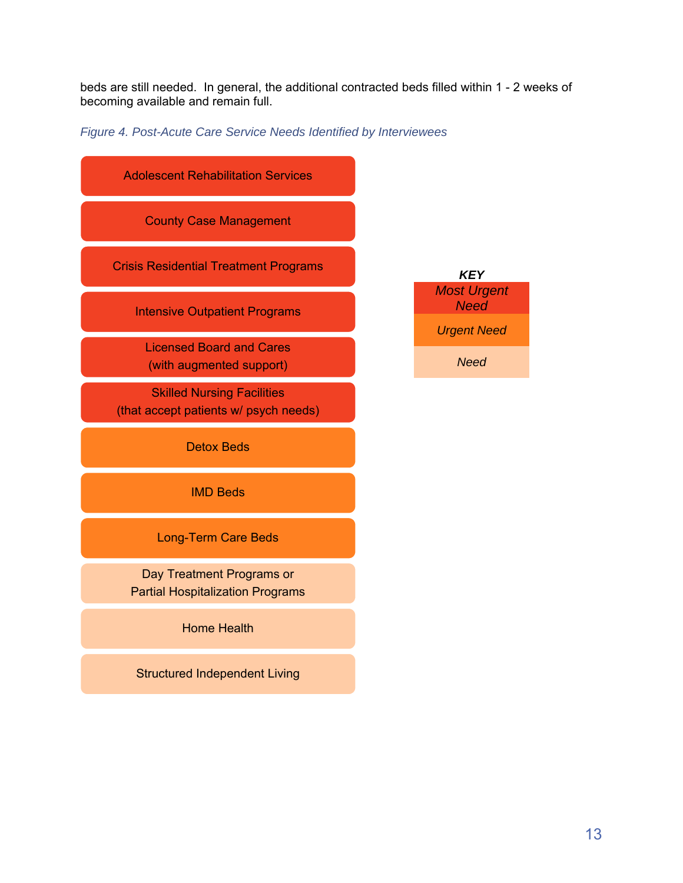beds are still needed. In general, the additional contracted beds filled within 1 - 2 weeks of becoming available and remain full.

*Figure 4. Post-Acute Care Service Needs Identified by Interviewees* 

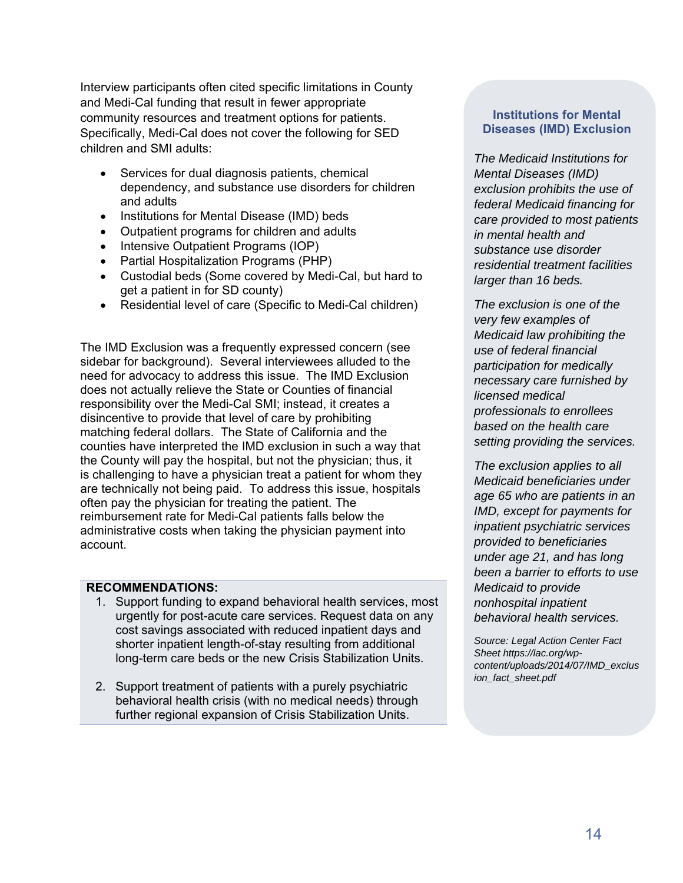Interview participants often cited specific limitations in County and Medi-Cal funding that result in fewer appropriate community resources and treatment options for patients. Specifically, Medi-Cal does not cover the following for SED children and SMI adults:

- Services for dual diagnosis patients, chemical dependency, and substance use disorders for children and adults
- Institutions for Mental Disease (IMD) beds
- Outpatient programs for children and adults
- Intensive Outpatient Programs (IOP)
- Partial Hospitalization Programs (PHP)
- Custodial beds (Some covered by Medi-Cal, but hard to get a patient in for SD county)
- Residential level of care (Specific to Medi-Cal children)

The IMD Exclusion was a frequently expressed concern (see sidebar for background). Several interviewees alluded to the need for advocacy to address this issue. The IMD Exclusion does not actually relieve the State or Counties of financial responsibility over the Medi-Cal SMI; instead, it creates a disincentive to provide that level of care by prohibiting matching federal dollars. The State of California and the counties have interpreted the IMD exclusion in such a way that the County will pay the hospital, but not the physician; thus, it is challenging to have a physician treat a patient for whom they are technically not being paid. To address this issue, hospitals often pay the physician for treating the patient. The reimbursement rate for Medi-Cal patients falls below the administrative costs when taking the physician payment into account.

### **RECOMMENDATIONS:**

- 1. Support funding to expand behavioral health services, most urgently for post-acute care services. Request data on any cost savings associated with reduced inpatient days and shorter inpatient length-of-stay resulting from additional long-term care beds or the new Crisis Stabilization Units.
- 2. Support treatment of patients with a purely psychiatric behavioral health crisis (with no medical needs) through further regional expansion of Crisis Stabilization Units.

## **Institutions for Mental Diseases (IMD) Exclusion**

*The Medicaid Institutions for Mental Diseases (IMD) exclusion prohibits the use of federal Medicaid financing for care provided to most patients in mental health and substance use disorder residential treatment facilities larger than 16 beds.* 

*The exclusion is one of the very few examples of Medicaid law prohibiting the use of federal financial participation for medically necessary care furnished by licensed medical professionals to enrollees based on the health care setting providing the services.* 

*The exclusion applies to all Medicaid beneficiaries under age 65 who are patients in an IMD, except for payments for inpatient psychiatric services provided to beneficiaries under age 21, and has long been a barrier to efforts to use Medicaid to provide nonhospital inpatient behavioral health services.* 

*Source: Legal Action Center Fact Sheet https://lac.org/wpcontent/uploads/2014/07/IMD\_exclus ion\_fact\_sheet.pdf*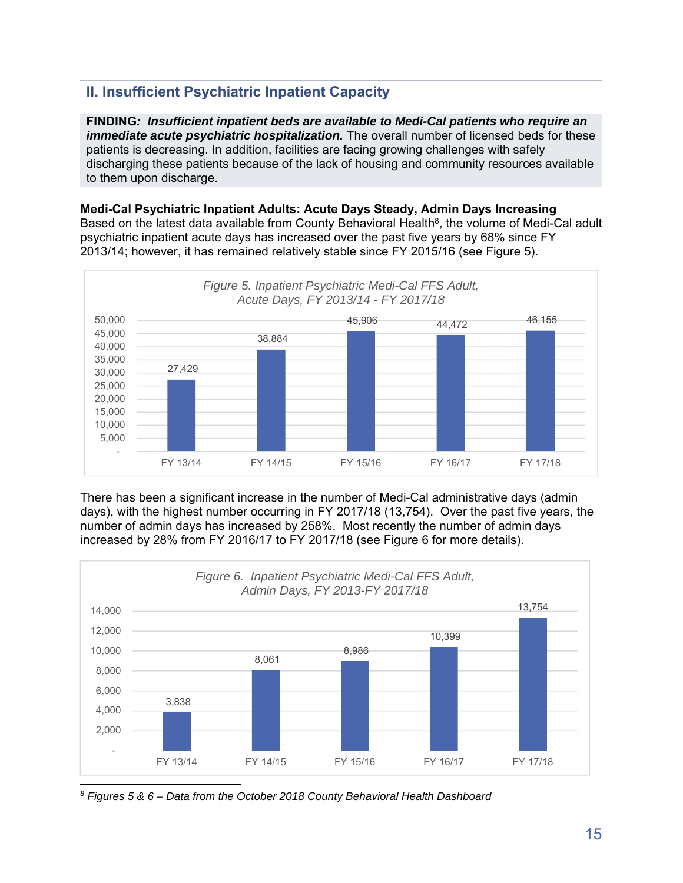# **II. Insufficient Psychiatric Inpatient Capacity**

**FINDING***: Insufficient inpatient beds are available to Medi-Cal patients who require an immediate acute psychiatric hospitalization.* The overall number of licensed beds for these patients is decreasing. In addition, facilities are facing growing challenges with safely discharging these patients because of the lack of housing and community resources available to them upon discharge.

**Medi-Cal Psychiatric Inpatient Adults: Acute Days Steady, Admin Days Increasing**  Based on the latest data available from County Behavioral Health<sup>8</sup>, the volume of Medi-Cal adult psychiatric inpatient acute days has increased over the past five years by 68% since FY 2013/14; however, it has remained relatively stable since FY 2015/16 (see Figure 5).



There has been a significant increase in the number of Medi-Cal administrative days (admin days), with the highest number occurring in FY 2017/18 (13,754). Over the past five years, the number of admin days has increased by 258%. Most recently the number of admin days increased by 28% from FY 2016/17 to FY 2017/18 (see Figure 6 for more details).



*8 Figures 5 & 6 – Data from the October 2018 County Behavioral Health Dashboard*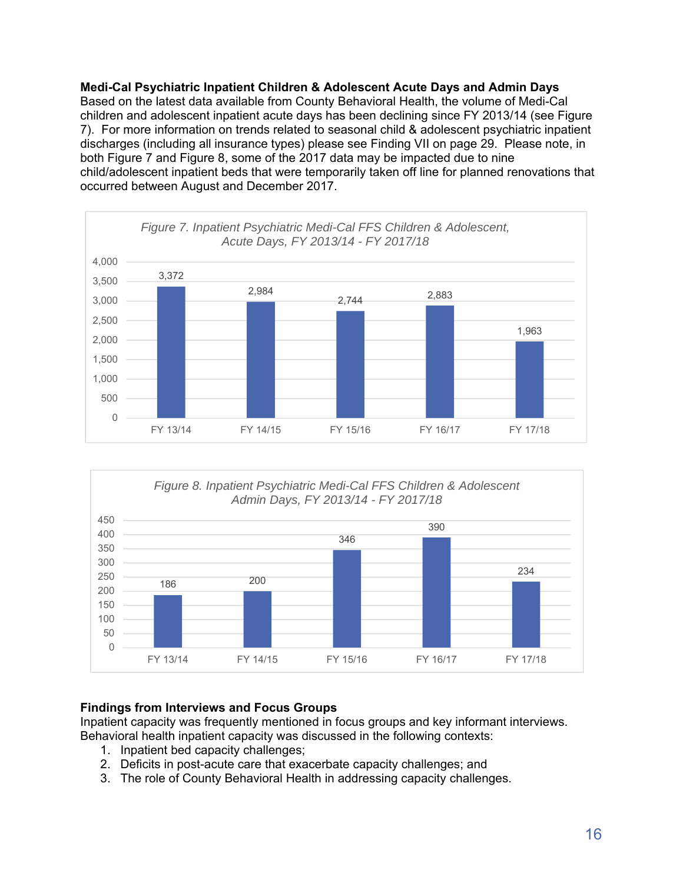**Medi-Cal Psychiatric Inpatient Children & Adolescent Acute Days and Admin Days**  Based on the latest data available from County Behavioral Health, the volume of Medi-Cal children and adolescent inpatient acute days has been declining since FY 2013/14 (see Figure 7). For more information on trends related to seasonal child & adolescent psychiatric inpatient discharges (including all insurance types) please see Finding VII on page 29. Please note, in both Figure 7 and Figure 8, some of the 2017 data may be impacted due to nine child/adolescent inpatient beds that were temporarily taken off line for planned renovations that occurred between August and December 2017.





# **Findings from Interviews and Focus Groups**

Inpatient capacity was frequently mentioned in focus groups and key informant interviews. Behavioral health inpatient capacity was discussed in the following contexts:

- 1. Inpatient bed capacity challenges;
- 2. Deficits in post-acute care that exacerbate capacity challenges; and
- 3. The role of County Behavioral Health in addressing capacity challenges.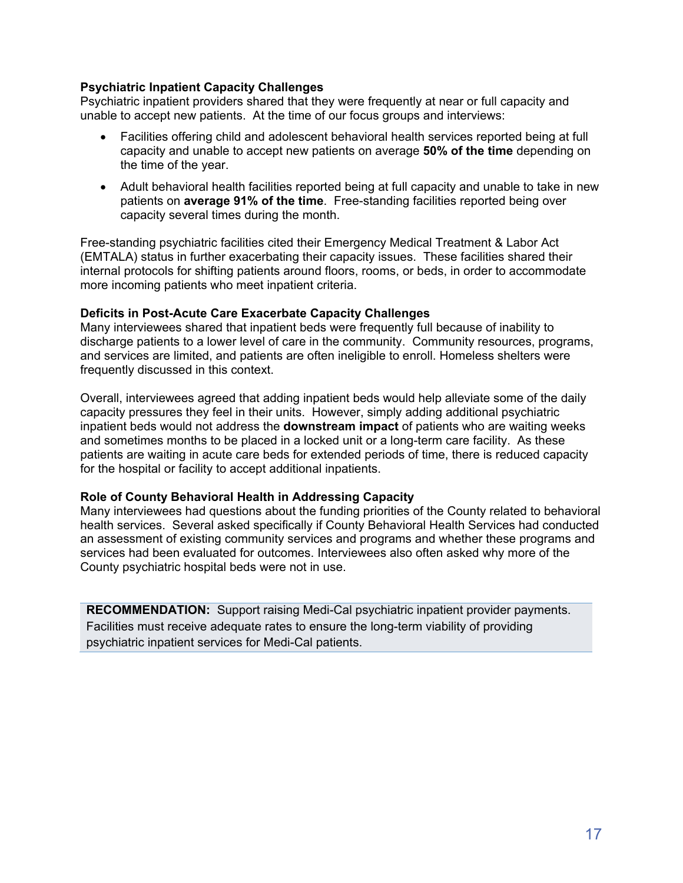## **Psychiatric Inpatient Capacity Challenges**

Psychiatric inpatient providers shared that they were frequently at near or full capacity and unable to accept new patients. At the time of our focus groups and interviews:

- Facilities offering child and adolescent behavioral health services reported being at full capacity and unable to accept new patients on average **50% of the time** depending on the time of the year.
- Adult behavioral health facilities reported being at full capacity and unable to take in new patients on **average 91% of the time**. Free-standing facilities reported being over capacity several times during the month.

Free-standing psychiatric facilities cited their Emergency Medical Treatment & Labor Act (EMTALA) status in further exacerbating their capacity issues. These facilities shared their internal protocols for shifting patients around floors, rooms, or beds, in order to accommodate more incoming patients who meet inpatient criteria.

### **Deficits in Post-Acute Care Exacerbate Capacity Challenges**

Many interviewees shared that inpatient beds were frequently full because of inability to discharge patients to a lower level of care in the community. Community resources, programs, and services are limited, and patients are often ineligible to enroll. Homeless shelters were frequently discussed in this context.

Overall, interviewees agreed that adding inpatient beds would help alleviate some of the daily capacity pressures they feel in their units. However, simply adding additional psychiatric inpatient beds would not address the **downstream impact** of patients who are waiting weeks and sometimes months to be placed in a locked unit or a long-term care facility. As these patients are waiting in acute care beds for extended periods of time, there is reduced capacity for the hospital or facility to accept additional inpatients.

### **Role of County Behavioral Health in Addressing Capacity**

Many interviewees had questions about the funding priorities of the County related to behavioral health services. Several asked specifically if County Behavioral Health Services had conducted an assessment of existing community services and programs and whether these programs and services had been evaluated for outcomes. Interviewees also often asked why more of the County psychiatric hospital beds were not in use.

**RECOMMENDATION:** Support raising Medi-Cal psychiatric inpatient provider payments. Facilities must receive adequate rates to ensure the long-term viability of providing psychiatric inpatient services for Medi-Cal patients.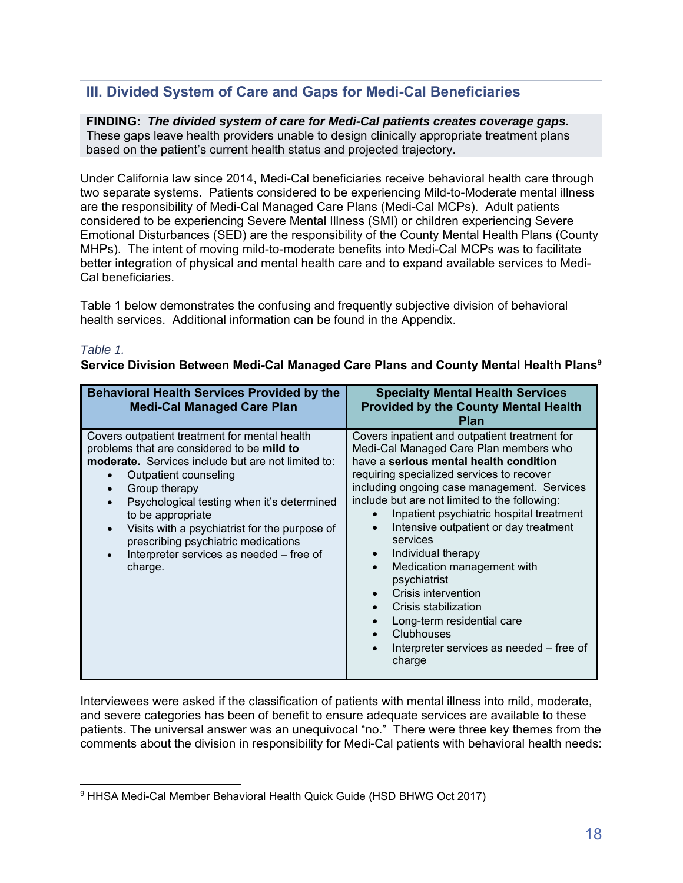# **III. Divided System of Care and Gaps for Medi-Cal Beneficiaries**

**FINDING:** *The divided system of care for Medi-Cal patients creates coverage gaps.* These gaps leave health providers unable to design clinically appropriate treatment plans based on the patient's current health status and projected trajectory.

Under California law since 2014, Medi-Cal beneficiaries receive behavioral health care through two separate systems. Patients considered to be experiencing Mild-to-Moderate mental illness are the responsibility of Medi-Cal Managed Care Plans (Medi-Cal MCPs). Adult patients considered to be experiencing Severe Mental Illness (SMI) or children experiencing Severe Emotional Disturbances (SED) are the responsibility of the County Mental Health Plans (County MHPs). The intent of moving mild-to-moderate benefits into Medi-Cal MCPs was to facilitate better integration of physical and mental health care and to expand available services to Medi-Cal beneficiaries.

Table 1 below demonstrates the confusing and frequently subjective division of behavioral health services. Additional information can be found in the Appendix.

## *Table 1.*

**Service Division Between Medi-Cal Managed Care Plans and County Mental Health Plans9**

| <b>Behavioral Health Services Provided by the</b><br><b>Medi-Cal Managed Care Plan</b>                                                                                                                                                                                                                                                                                                                               | <b>Specialty Mental Health Services</b><br><b>Provided by the County Mental Health</b><br><b>Plan</b>                                                                                                                                                                                                                                                                                                                                                                                                                                                                                                                                                           |
|----------------------------------------------------------------------------------------------------------------------------------------------------------------------------------------------------------------------------------------------------------------------------------------------------------------------------------------------------------------------------------------------------------------------|-----------------------------------------------------------------------------------------------------------------------------------------------------------------------------------------------------------------------------------------------------------------------------------------------------------------------------------------------------------------------------------------------------------------------------------------------------------------------------------------------------------------------------------------------------------------------------------------------------------------------------------------------------------------|
| Covers outpatient treatment for mental health<br>problems that are considered to be mild to<br><b>moderate.</b> Services include but are not limited to:<br>Outpatient counseling<br>Group therapy<br>Psychological testing when it's determined<br>to be appropriate<br>Visits with a psychiatrist for the purpose of<br>prescribing psychiatric medications<br>Interpreter services as needed - free of<br>charge. | Covers inpatient and outpatient treatment for<br>Medi-Cal Managed Care Plan members who<br>have a serious mental health condition<br>requiring specialized services to recover<br>including ongoing case management. Services<br>include but are not limited to the following:<br>Inpatient psychiatric hospital treatment<br>Intensive outpatient or day treatment<br>$\bullet$<br>services<br>Individual therapy<br>$\bullet$<br>Medication management with<br>$\bullet$<br>psychiatrist<br>Crisis intervention<br>Crisis stabilization<br>Long-term residential care<br><b>Clubhouses</b><br>$\bullet$<br>Interpreter services as needed - free of<br>charge |

Interviewees were asked if the classification of patients with mental illness into mild, moderate, and severe categories has been of benefit to ensure adequate services are available to these patients. The universal answer was an unequivocal "no." There were three key themes from the comments about the division in responsibility for Medi-Cal patients with behavioral health needs:

<sup>9</sup> HHSA Medi-Cal Member Behavioral Health Quick Guide (HSD BHWG Oct 2017)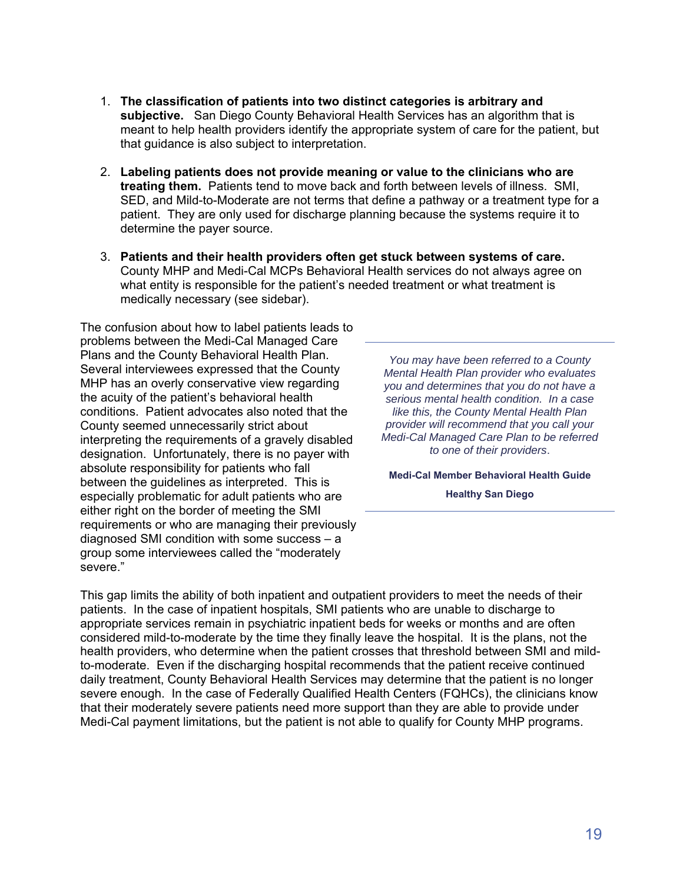- 1. **The classification of patients into two distinct categories is arbitrary and subjective.** San Diego County Behavioral Health Services has an algorithm that is meant to help health providers identify the appropriate system of care for the patient, but that guidance is also subject to interpretation.
- 2. **Labeling patients does not provide meaning or value to the clinicians who are treating them.** Patients tend to move back and forth between levels of illness. SMI, SED, and Mild-to-Moderate are not terms that define a pathway or a treatment type for a patient. They are only used for discharge planning because the systems require it to determine the payer source.
- 3. **Patients and their health providers often get stuck between systems of care.** County MHP and Medi-Cal MCPs Behavioral Health services do not always agree on what entity is responsible for the patient's needed treatment or what treatment is medically necessary (see sidebar).

The confusion about how to label patients leads to problems between the Medi-Cal Managed Care Plans and the County Behavioral Health Plan. Several interviewees expressed that the County MHP has an overly conservative view regarding the acuity of the patient's behavioral health conditions. Patient advocates also noted that the County seemed unnecessarily strict about interpreting the requirements of a gravely disabled designation. Unfortunately, there is no payer with absolute responsibility for patients who fall between the guidelines as interpreted. This is especially problematic for adult patients who are either right on the border of meeting the SMI requirements or who are managing their previously diagnosed SMI condition with some success – a group some interviewees called the "moderately severe."

*You may have been referred to a County Mental Health Plan provider who evaluates you and determines that you do not have a serious mental health condition. In a case like this, the County Mental Health Plan provider will recommend that you call your Medi-Cal Managed Care Plan to be referred to one of their providers*.

**Medi-Cal Member Behavioral Health Guide Healthy San Diego** 

This gap limits the ability of both inpatient and outpatient providers to meet the needs of their patients. In the case of inpatient hospitals, SMI patients who are unable to discharge to appropriate services remain in psychiatric inpatient beds for weeks or months and are often considered mild-to-moderate by the time they finally leave the hospital. It is the plans, not the health providers, who determine when the patient crosses that threshold between SMI and mildto-moderate. Even if the discharging hospital recommends that the patient receive continued daily treatment, County Behavioral Health Services may determine that the patient is no longer severe enough. In the case of Federally Qualified Health Centers (FQHCs), the clinicians know that their moderately severe patients need more support than they are able to provide under Medi-Cal payment limitations, but the patient is not able to qualify for County MHP programs.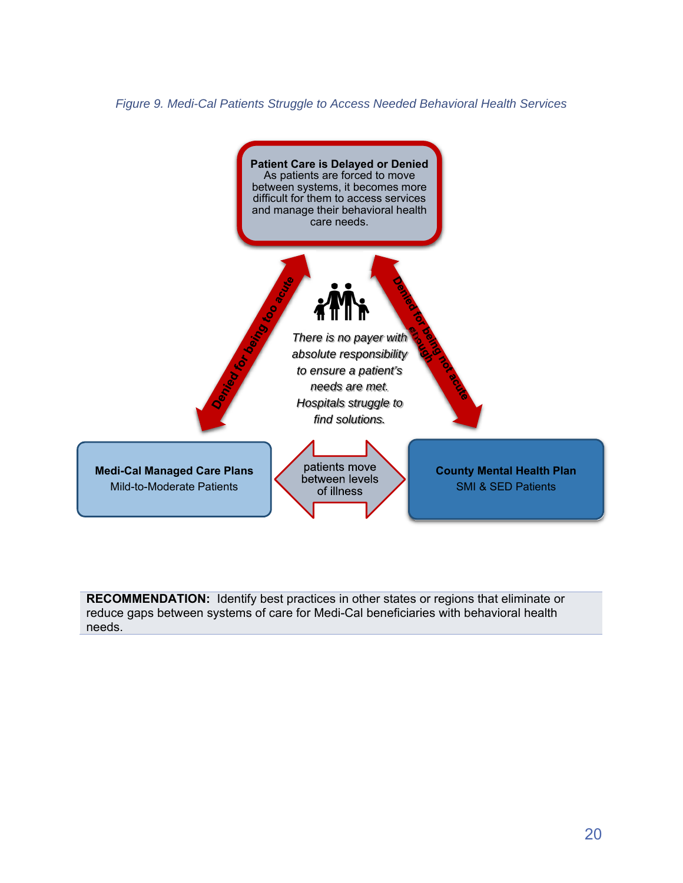*Figure 9. Medi-Cal Patients Struggle to Access Needed Behavioral Health Services* 



**RECOMMENDATION:** Identify best practices in other states or regions that eliminate or reduce gaps between systems of care for Medi-Cal beneficiaries with behavioral health needs.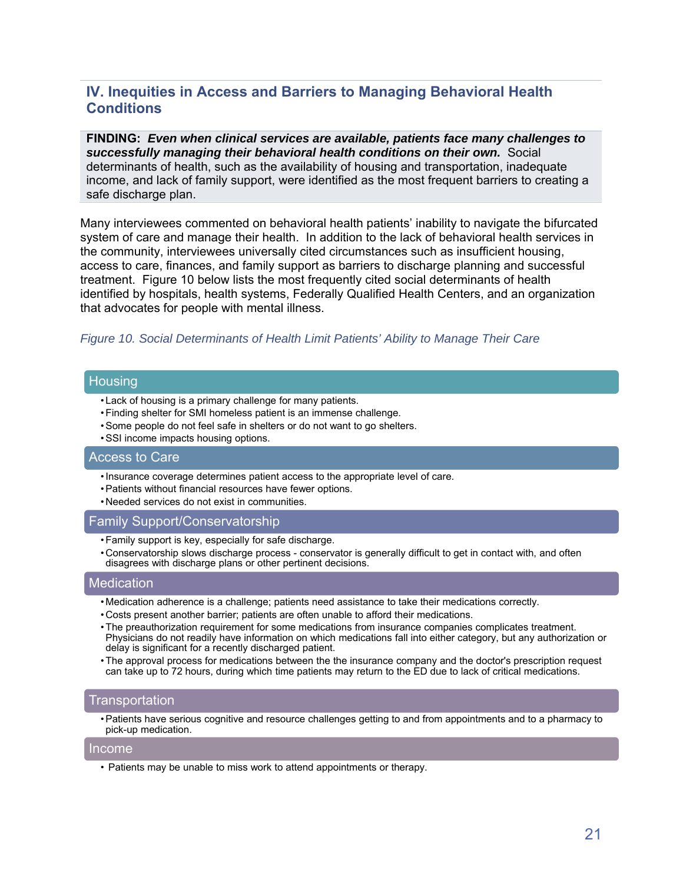# **IV. Inequities in Access and Barriers to Managing Behavioral Health Conditions**

**FINDING:** *Even when clinical services are available, patients face many challenges to successfully managing their behavioral health conditions on their own.* Social determinants of health, such as the availability of housing and transportation, inadequate income, and lack of family support, were identified as the most frequent barriers to creating a safe discharge plan.

Many interviewees commented on behavioral health patients' inability to navigate the bifurcated system of care and manage their health. In addition to the lack of behavioral health services in the community, interviewees universally cited circumstances such as insufficient housing, access to care, finances, and family support as barriers to discharge planning and successful treatment. Figure 10 below lists the most frequently cited social determinants of health identified by hospitals, health systems, Federally Qualified Health Centers, and an organization that advocates for people with mental illness.

#### *Figure 10. Social Determinants of Health Limit Patients' Ability to Manage Their Care*

#### **Housing**

- Lack of housing is a primary challenge for many patients.
- Finding shelter for SMI homeless patient is an immense challenge.
- Some people do not feel safe in shelters or do not want to go shelters.
- SSI income impacts housing options.

#### Access to Care

- Insurance coverage determines patient access to the appropriate level of care.
- Patients without financial resources have fewer options.
- Needed services do not exist in communities.

#### Family Support/Conservatorship

- Family support is key, especially for safe discharge.
- Conservatorship slows discharge process conservator is generally difficult to get in contact with, and often disagrees with discharge plans or other pertinent decisions.

### Medication

- Medication adherence is a challenge; patients need assistance to take their medications correctly.
- Costs present another barrier; patients are often unable to afford their medications.
- The preauthorization requirement for some medications from insurance companies complicates treatment. Physicians do not readily have information on which medications fall into either category, but any authorization or delay is significant for a recently discharged patient.
- The approval process for medications between the the insurance company and the doctor's prescription request can take up to 72 hours, during which time patients may return to the ED due to lack of critical medications.

#### Transportation

• Patients have serious cognitive and resource challenges getting to and from appointments and to a pharmacy to pick-up medication.

#### Income

• Patients may be unable to miss work to attend appointments or therapy.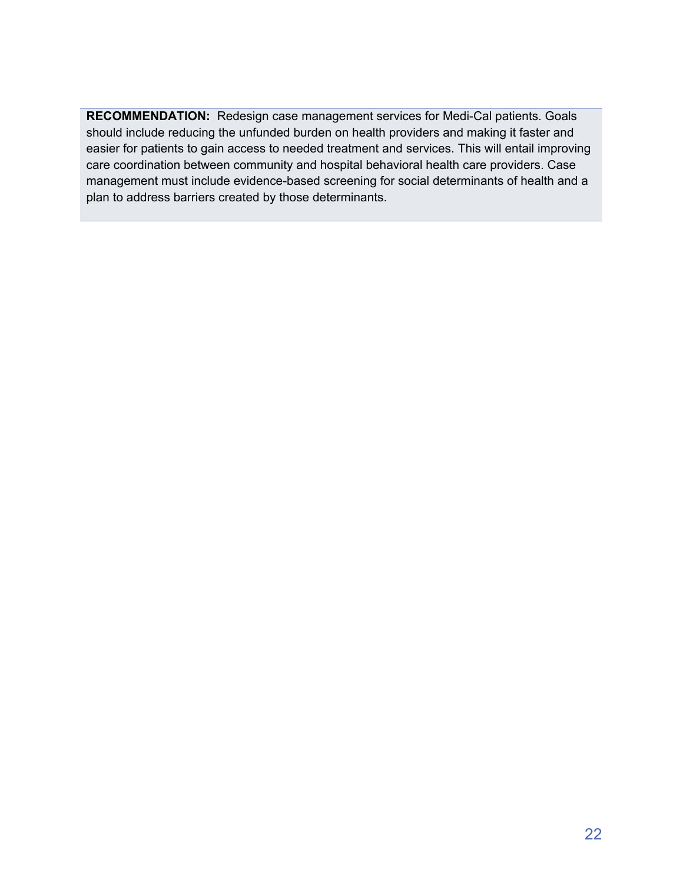**RECOMMENDATION:** Redesign case management services for Medi-Cal patients. Goals should include reducing the unfunded burden on health providers and making it faster and easier for patients to gain access to needed treatment and services. This will entail improving care coordination between community and hospital behavioral health care providers. Case management must include evidence-based screening for social determinants of health and a plan to address barriers created by those determinants.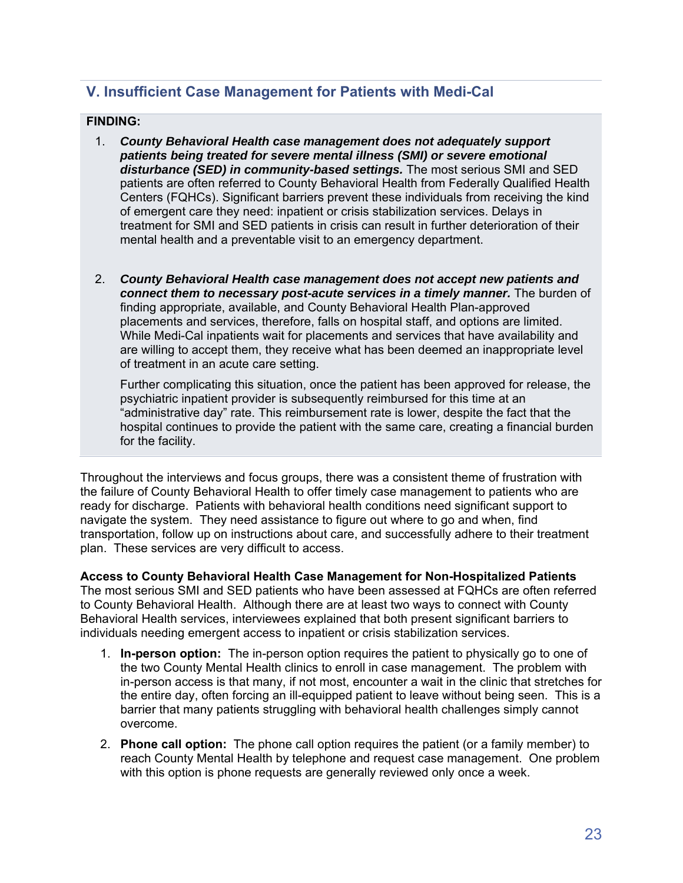# **V. Insufficient Case Management for Patients with Medi-Cal**

## **FINDING:**

- 1. *County Behavioral Health case management does not adequately support patients being treated for severe mental illness (SMI) or severe emotional disturbance (SED) in community-based settings.* The most serious SMI and SED patients are often referred to County Behavioral Health from Federally Qualified Health Centers (FQHCs). Significant barriers prevent these individuals from receiving the kind of emergent care they need: inpatient or crisis stabilization services. Delays in treatment for SMI and SED patients in crisis can result in further deterioration of their mental health and a preventable visit to an emergency department.
- 2. *County Behavioral Health case management does not accept new patients and connect them to necessary post-acute services in a timely manner.* The burden of finding appropriate, available, and County Behavioral Health Plan-approved placements and services, therefore, falls on hospital staff, and options are limited. While Medi-Cal inpatients wait for placements and services that have availability and are willing to accept them, they receive what has been deemed an inappropriate level of treatment in an acute care setting.

Further complicating this situation, once the patient has been approved for release, the psychiatric inpatient provider is subsequently reimbursed for this time at an "administrative day" rate. This reimbursement rate is lower, despite the fact that the hospital continues to provide the patient with the same care, creating a financial burden for the facility.

Throughout the interviews and focus groups, there was a consistent theme of frustration with the failure of County Behavioral Health to offer timely case management to patients who are ready for discharge. Patients with behavioral health conditions need significant support to navigate the system. They need assistance to figure out where to go and when, find transportation, follow up on instructions about care, and successfully adhere to their treatment plan. These services are very difficult to access.

**Access to County Behavioral Health Case Management for Non-Hospitalized Patients**  The most serious SMI and SED patients who have been assessed at FQHCs are often referred to County Behavioral Health. Although there are at least two ways to connect with County Behavioral Health services, interviewees explained that both present significant barriers to individuals needing emergent access to inpatient or crisis stabilization services.

- 1. **In-person option:** The in-person option requires the patient to physically go to one of the two County Mental Health clinics to enroll in case management. The problem with in-person access is that many, if not most, encounter a wait in the clinic that stretches for the entire day, often forcing an ill-equipped patient to leave without being seen. This is a barrier that many patients struggling with behavioral health challenges simply cannot overcome.
- 2. **Phone call option:** The phone call option requires the patient (or a family member) to reach County Mental Health by telephone and request case management. One problem with this option is phone requests are generally reviewed only once a week.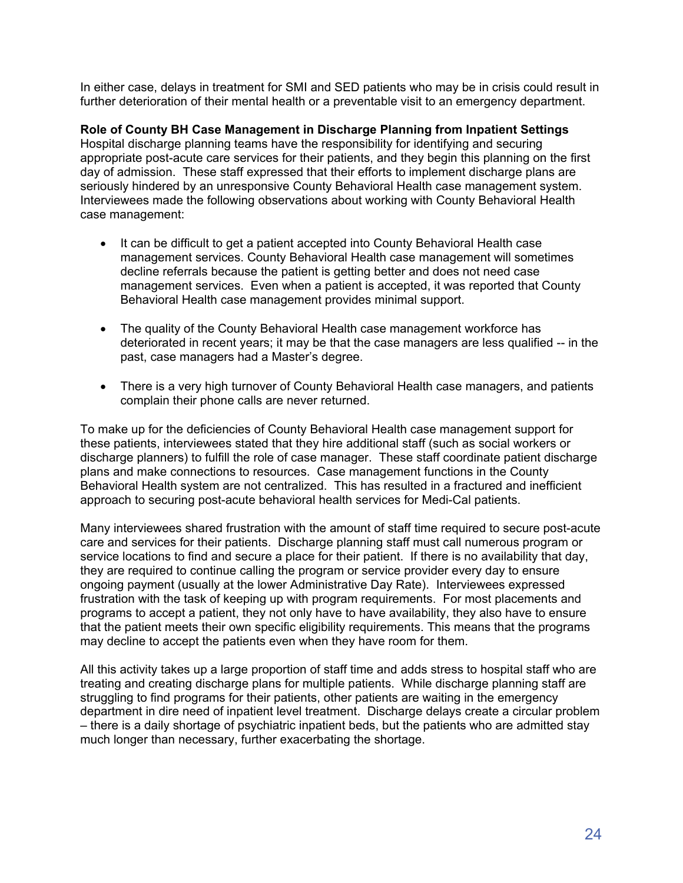In either case, delays in treatment for SMI and SED patients who may be in crisis could result in further deterioration of their mental health or a preventable visit to an emergency department.

**Role of County BH Case Management in Discharge Planning from Inpatient Settings**  Hospital discharge planning teams have the responsibility for identifying and securing appropriate post-acute care services for their patients, and they begin this planning on the first day of admission. These staff expressed that their efforts to implement discharge plans are seriously hindered by an unresponsive County Behavioral Health case management system. Interviewees made the following observations about working with County Behavioral Health case management:

- It can be difficult to get a patient accepted into County Behavioral Health case management services. County Behavioral Health case management will sometimes decline referrals because the patient is getting better and does not need case management services. Even when a patient is accepted, it was reported that County Behavioral Health case management provides minimal support.
- The quality of the County Behavioral Health case management workforce has deteriorated in recent years; it may be that the case managers are less qualified -- in the past, case managers had a Master's degree.
- There is a very high turnover of County Behavioral Health case managers, and patients complain their phone calls are never returned.

To make up for the deficiencies of County Behavioral Health case management support for these patients, interviewees stated that they hire additional staff (such as social workers or discharge planners) to fulfill the role of case manager. These staff coordinate patient discharge plans and make connections to resources. Case management functions in the County Behavioral Health system are not centralized. This has resulted in a fractured and inefficient approach to securing post-acute behavioral health services for Medi-Cal patients.

Many interviewees shared frustration with the amount of staff time required to secure post-acute care and services for their patients. Discharge planning staff must call numerous program or service locations to find and secure a place for their patient. If there is no availability that day, they are required to continue calling the program or service provider every day to ensure ongoing payment (usually at the lower Administrative Day Rate). Interviewees expressed frustration with the task of keeping up with program requirements. For most placements and programs to accept a patient, they not only have to have availability, they also have to ensure that the patient meets their own specific eligibility requirements. This means that the programs may decline to accept the patients even when they have room for them.

All this activity takes up a large proportion of staff time and adds stress to hospital staff who are treating and creating discharge plans for multiple patients. While discharge planning staff are struggling to find programs for their patients, other patients are waiting in the emergency department in dire need of inpatient level treatment. Discharge delays create a circular problem – there is a daily shortage of psychiatric inpatient beds, but the patients who are admitted stay much longer than necessary, further exacerbating the shortage.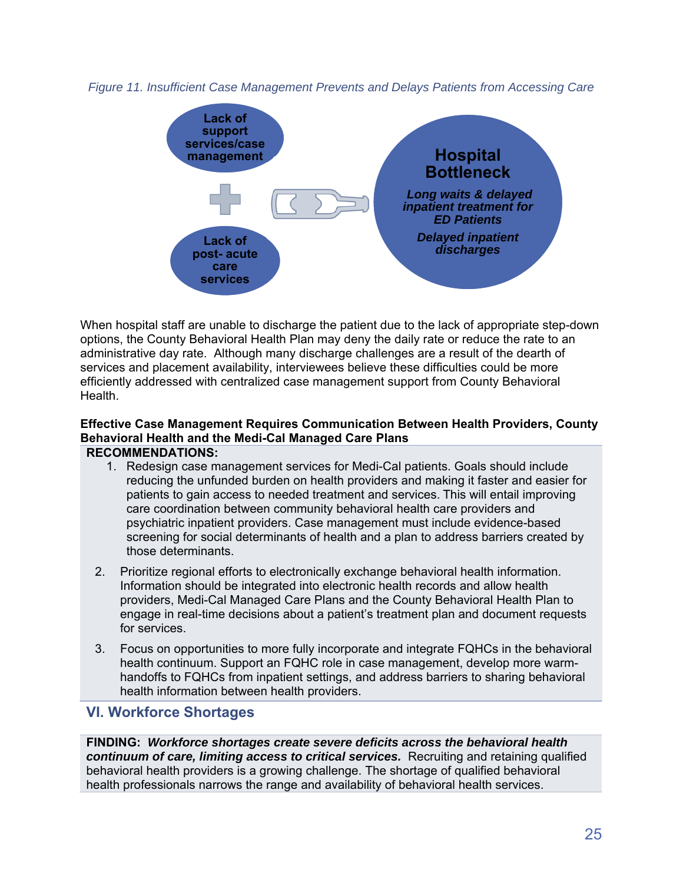



When hospital staff are unable to discharge the patient due to the lack of appropriate step-down options, the County Behavioral Health Plan may deny the daily rate or reduce the rate to an administrative day rate. Although many discharge challenges are a result of the dearth of services and placement availability, interviewees believe these difficulties could be more efficiently addressed with centralized case management support from County Behavioral Health.

## **Effective Case Management Requires Communication Between Health Providers, County Behavioral Health and the Medi-Cal Managed Care Plans**  The need for direct communication and data sharing between health systems, FQHCs, County **RECOMMENDATIONS:**

- 1. Redesign case management services for Medi-Cal patients. Goals should include reducing the unfunded burden on health providers and making it faster and easier for patients to gain access to needed treatment and services. This will entail improving care coordination between community behavioral health care providers and discharge behavioral health care providers and psychiatric inpatient providers. Case management must include evidence-based screening for social determinants of health and a plan to address barriers created by those determinants.
	- 2. Prioritize regional efforts to electronically exchange behavioral health information. Information should be integrated into electronic health records and allow health providers, Medi-Cal Managed Care Plans and the County Behavioral Health Plan to engage in real-time decisions about a patient's treatment plan and document requests for services.
	- 3. Focus on opportunities to more fully incorporate and integrate FQHCs in the behavioral health continuum. Support an FQHC role in case management, develop more warmhandoffs to FQHCs from inpatient settings, and address barriers to sharing behavioral health information between health providers.

# **VI. Workforce Shortages**

**FINDING:** *Workforce shortages create severe deficits across the behavioral health continuum of care, limiting access to critical services.* Recruiting and retaining qualified behavioral health providers is a growing challenge. The shortage of qualified behavioral health professionals narrows the range and availability of behavioral health services.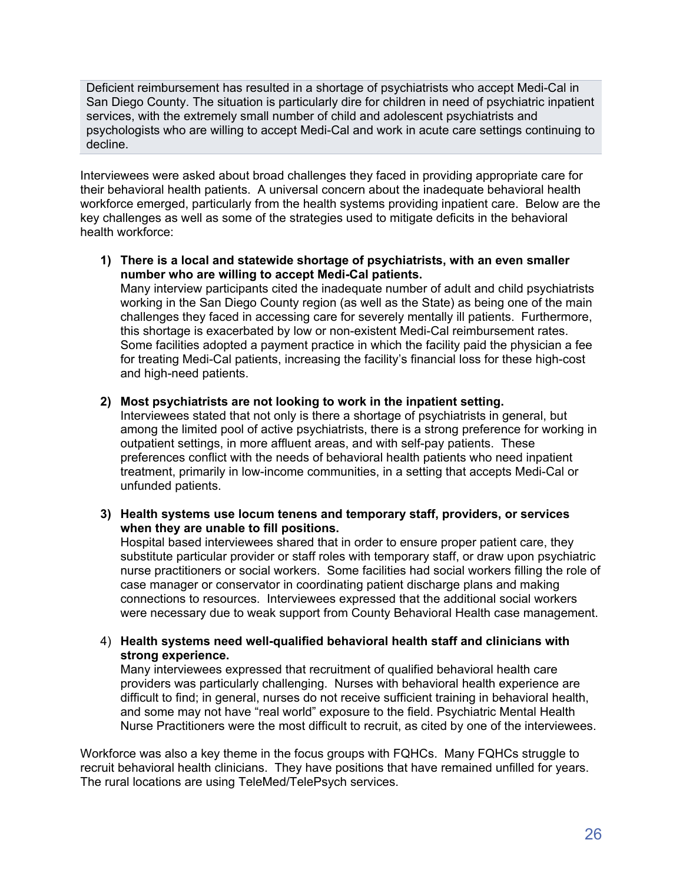Deficient reimbursement has resulted in a shortage of psychiatrists who accept Medi-Cal in San Diego County. The situation is particularly dire for children in need of psychiatric inpatient services, with the extremely small number of child and adolescent psychiatrists and psychologists who are willing to accept Medi-Cal and work in acute care settings continuing to decline.

Interviewees were asked about broad challenges they faced in providing appropriate care for their behavioral health patients. A universal concern about the inadequate behavioral health workforce emerged, particularly from the health systems providing inpatient care. Below are the key challenges as well as some of the strategies used to mitigate deficits in the behavioral health workforce:

**1) There is a local and statewide shortage of psychiatrists, with an even smaller number who are willing to accept Medi-Cal patients.** 

Many interview participants cited the inadequate number of adult and child psychiatrists working in the San Diego County region (as well as the State) as being one of the main challenges they faced in accessing care for severely mentally ill patients. Furthermore, this shortage is exacerbated by low or non-existent Medi-Cal reimbursement rates. Some facilities adopted a payment practice in which the facility paid the physician a fee for treating Medi-Cal patients, increasing the facility's financial loss for these high-cost and high-need patients.

**2) Most psychiatrists are not looking to work in the inpatient setting.** 

Interviewees stated that not only is there a shortage of psychiatrists in general, but among the limited pool of active psychiatrists, there is a strong preference for working in outpatient settings, in more affluent areas, and with self-pay patients. These preferences conflict with the needs of behavioral health patients who need inpatient treatment, primarily in low-income communities, in a setting that accepts Medi-Cal or unfunded patients.

**3) Health systems use locum tenens and temporary staff, providers, or services when they are unable to fill positions.** 

Hospital based interviewees shared that in order to ensure proper patient care, they substitute particular provider or staff roles with temporary staff, or draw upon psychiatric nurse practitioners or social workers. Some facilities had social workers filling the role of case manager or conservator in coordinating patient discharge plans and making connections to resources. Interviewees expressed that the additional social workers were necessary due to weak support from County Behavioral Health case management.

4) **Health systems need well-qualified behavioral health staff and clinicians with strong experience.** 

Many interviewees expressed that recruitment of qualified behavioral health care providers was particularly challenging. Nurses with behavioral health experience are difficult to find; in general, nurses do not receive sufficient training in behavioral health, and some may not have "real world" exposure to the field. Psychiatric Mental Health Nurse Practitioners were the most difficult to recruit, as cited by one of the interviewees.

Workforce was also a key theme in the focus groups with FQHCs. Many FQHCs struggle to recruit behavioral health clinicians. They have positions that have remained unfilled for years. The rural locations are using TeleMed/TelePsych services.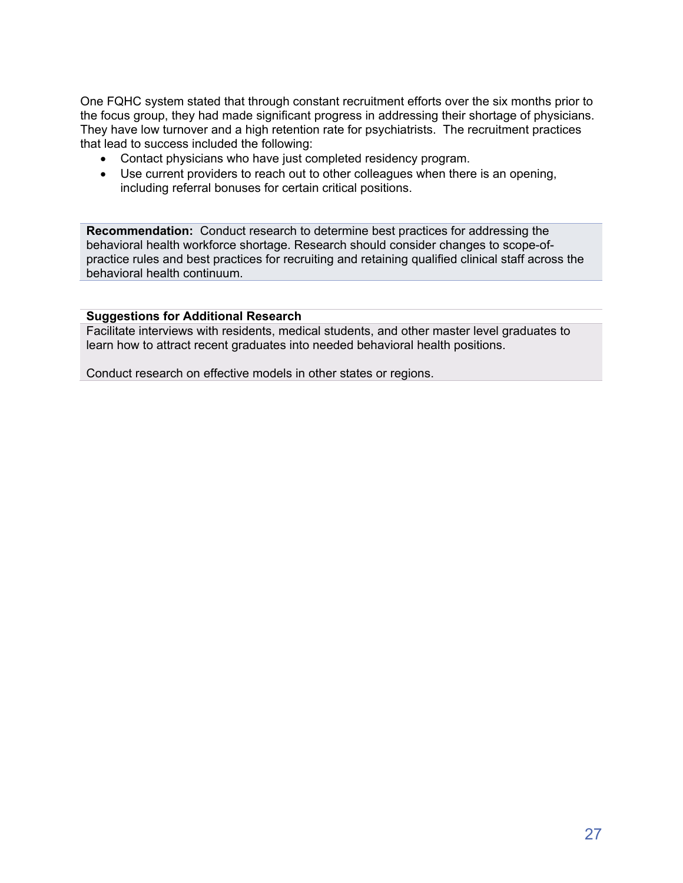One FQHC system stated that through constant recruitment efforts over the six months prior to the focus group, they had made significant progress in addressing their shortage of physicians. They have low turnover and a high retention rate for psychiatrists. The recruitment practices that lead to success included the following:

- Contact physicians who have just completed residency program.
- Use current providers to reach out to other colleagues when there is an opening, including referral bonuses for certain critical positions.

**Recommendation:** Conduct research to determine best practices for addressing the behavioral health workforce shortage. Research should consider changes to scope-ofpractice rules and best practices for recruiting and retaining qualified clinical staff across the behavioral health continuum.

## **Suggestions for Additional Research**

Facilitate interviews with residents, medical students, and other master level graduates to learn how to attract recent graduates into needed behavioral health positions.

Conduct research on effective models in other states or regions.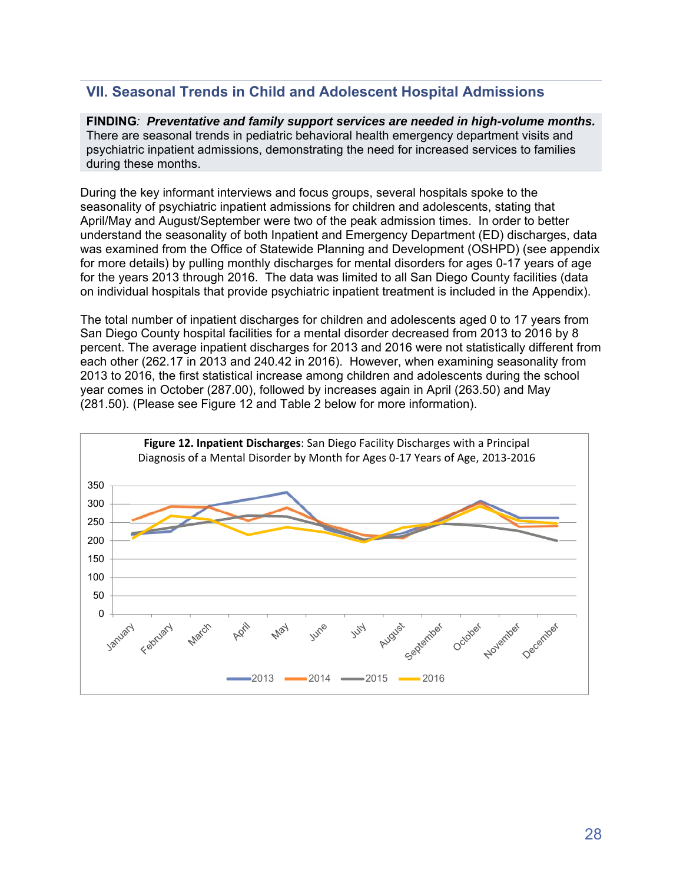# **VII. Seasonal Trends in Child and Adolescent Hospital Admissions**

**FINDING***: Preventative and family support services are needed in high-volume months.* There are seasonal trends in pediatric behavioral health emergency department visits and psychiatric inpatient admissions, demonstrating the need for increased services to families during these months.

During the key informant interviews and focus groups, several hospitals spoke to the seasonality of psychiatric inpatient admissions for children and adolescents, stating that April/May and August/September were two of the peak admission times. In order to better understand the seasonality of both Inpatient and Emergency Department (ED) discharges, data was examined from the Office of Statewide Planning and Development (OSHPD) (see appendix for more details) by pulling monthly discharges for mental disorders for ages 0-17 years of age for the years 2013 through 2016. The data was limited to all San Diego County facilities (data on individual hospitals that provide psychiatric inpatient treatment is included in the Appendix).

The total number of inpatient discharges for children and adolescents aged 0 to 17 years from San Diego County hospital facilities for a mental disorder decreased from 2013 to 2016 by 8 percent. The average inpatient discharges for 2013 and 2016 were not statistically different from each other (262.17 in 2013 and 240.42 in 2016). However, when examining seasonality from 2013 to 2016, the first statistical increase among children and adolescents during the school year comes in October (287.00), followed by increases again in April (263.50) and May (281.50). (Please see Figure 12 and Table 2 below for more information).

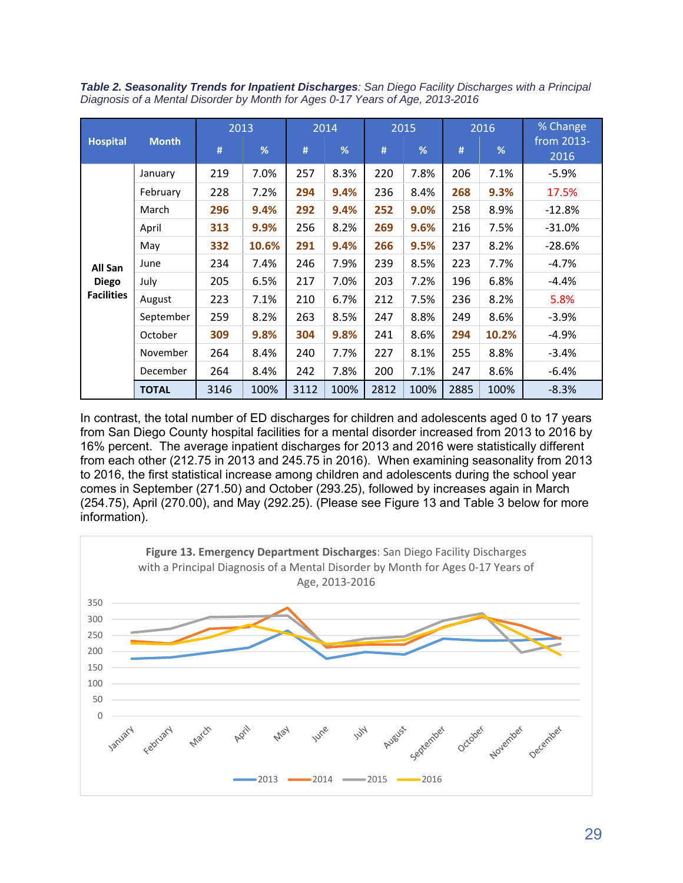*Table 2. Seasonality Trends for Inpatient Discharges: San Diego Facility Discharges with a Principal Diagnosis of a Mental Disorder by Month for Ages 0-17 Years of Age, 2013-2016* 

|                   | <b>Month</b> | 2013 |       |      | 2014 |      | 2015 |      | 2016  | % Change           |
|-------------------|--------------|------|-------|------|------|------|------|------|-------|--------------------|
| <b>Hospital</b>   |              | #    | %     | #    | %    | #    | %    | #    | %     | from 2013-<br>2016 |
|                   | January      | 219  | 7.0%  | 257  | 8.3% | 220  | 7.8% | 206  | 7.1%  | $-5.9%$            |
|                   | February     | 228  | 7.2%  | 294  | 9.4% | 236  | 8.4% | 268  | 9.3%  | 17.5%              |
|                   | March        | 296  | 9.4%  | 292  | 9.4% | 252  | 9.0% | 258  | 8.9%  | $-12.8%$           |
|                   | April        | 313  | 9.9%  | 256  | 8.2% | 269  | 9.6% | 216  | 7.5%  | $-31.0%$           |
|                   | May          | 332  | 10.6% | 291  | 9.4% | 266  | 9.5% | 237  | 8.2%  | $-28.6%$           |
| All San           | June         | 234  | 7.4%  | 246  | 7.9% | 239  | 8.5% | 223  | 7.7%  | $-4.7\%$           |
| <b>Diego</b>      | July         | 205  | 6.5%  | 217  | 7.0% | 203  | 7.2% | 196  | 6.8%  | $-4.4%$            |
| <b>Facilities</b> | August       | 223  | 7.1%  | 210  | 6.7% | 212  | 7.5% | 236  | 8.2%  | 5.8%               |
|                   | September    | 259  | 8.2%  | 263  | 8.5% | 247  | 8.8% | 249  | 8.6%  | -3.9%              |
|                   | October      | 309  | 9.8%  | 304  | 9.8% | 241  | 8.6% | 294  | 10.2% | $-4.9%$            |
|                   | November     | 264  | 8.4%  | 240  | 7.7% | 227  | 8.1% | 255  | 8.8%  | $-3.4%$            |
|                   | December     | 264  | 8.4%  | 242  | 7.8% | 200  | 7.1% | 247  | 8.6%  | $-6.4%$            |
|                   | <b>TOTAL</b> | 3146 | 100%  | 3112 | 100% | 2812 | 100% | 2885 | 100%  | $-8.3%$            |

In contrast, the total number of ED discharges for children and adolescents aged 0 to 17 years from San Diego County hospital facilities for a mental disorder increased from 2013 to 2016 by 16% percent. The average inpatient discharges for 2013 and 2016 were statistically different from each other (212.75 in 2013 and 245.75 in 2016). When examining seasonality from 2013 to 2016, the first statistical increase among children and adolescents during the school year comes in September (271.50) and October (293.25), followed by increases again in March (254.75), April (270.00), and May (292.25). (Please see Figure 13 and Table 3 below for more information).

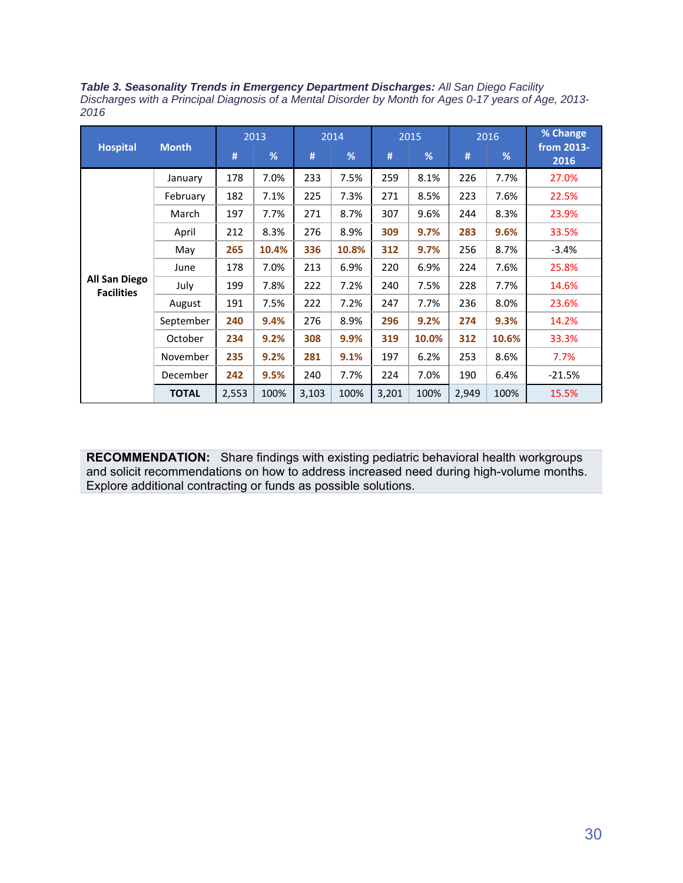*Table 3. Seasonality Trends in Emergency Department Discharges: All San Diego Facility Discharges with a Principal Diagnosis of a Mental Disorder by Month for Ages 0-17 years of Age, 2013- 2016* 

|                                           | <b>Month</b> | 2013  |       | 2014  |       | 2015  |       | 2016  |       | % Change           |
|-------------------------------------------|--------------|-------|-------|-------|-------|-------|-------|-------|-------|--------------------|
| <b>Hospital</b>                           |              | #     | %     | #     | %     | #     | %     | #     | %     | from 2013-<br>2016 |
|                                           | January      | 178   | 7.0%  | 233   | 7.5%  | 259   | 8.1%  | 226   | 7.7%  | 27.0%              |
|                                           | February     | 182   | 7.1%  | 225   | 7.3%  | 271   | 8.5%  | 223   | 7.6%  | 22.5%              |
|                                           | March        | 197   | 7.7%  | 271   | 8.7%  | 307   | 9.6%  | 244   | 8.3%  | 23.9%              |
|                                           | April        | 212   | 8.3%  | 276   | 8.9%  | 309   | 9.7%  | 283   | 9.6%  | 33.5%              |
|                                           | May          | 265   | 10.4% | 336   | 10.8% | 312   | 9.7%  | 256   | 8.7%  | $-3.4%$            |
|                                           | June         | 178   | 7.0%  | 213   | 6.9%  | 220   | 6.9%  | 224   | 7.6%  | 25.8%              |
| <b>All San Diego</b><br><b>Facilities</b> | July         | 199   | 7.8%  | 222   | 7.2%  | 240   | 7.5%  | 228   | 7.7%  | 14.6%              |
|                                           | August       | 191   | 7.5%  | 222   | 7.2%  | 247   | 7.7%  | 236   | 8.0%  | 23.6%              |
|                                           | September    | 240   | 9.4%  | 276   | 8.9%  | 296   | 9.2%  | 274   | 9.3%  | 14.2%              |
|                                           | October      | 234   | 9.2%  | 308   | 9.9%  | 319   | 10.0% | 312   | 10.6% | 33.3%              |
|                                           | November     | 235   | 9.2%  | 281   | 9.1%  | 197   | 6.2%  | 253   | 8.6%  | 7.7%               |
|                                           | December     | 242   | 9.5%  | 240   | 7.7%  | 224   | 7.0%  | 190   | 6.4%  | $-21.5%$           |
|                                           | <b>TOTAL</b> | 2,553 | 100%  | 3,103 | 100%  | 3,201 | 100%  | 2,949 | 100%  | 15.5%              |

**RECOMMENDATION:** Share findings with existing pediatric behavioral health workgroups and solicit recommendations on how to address increased need during high-volume months. Explore additional contracting or funds as possible solutions.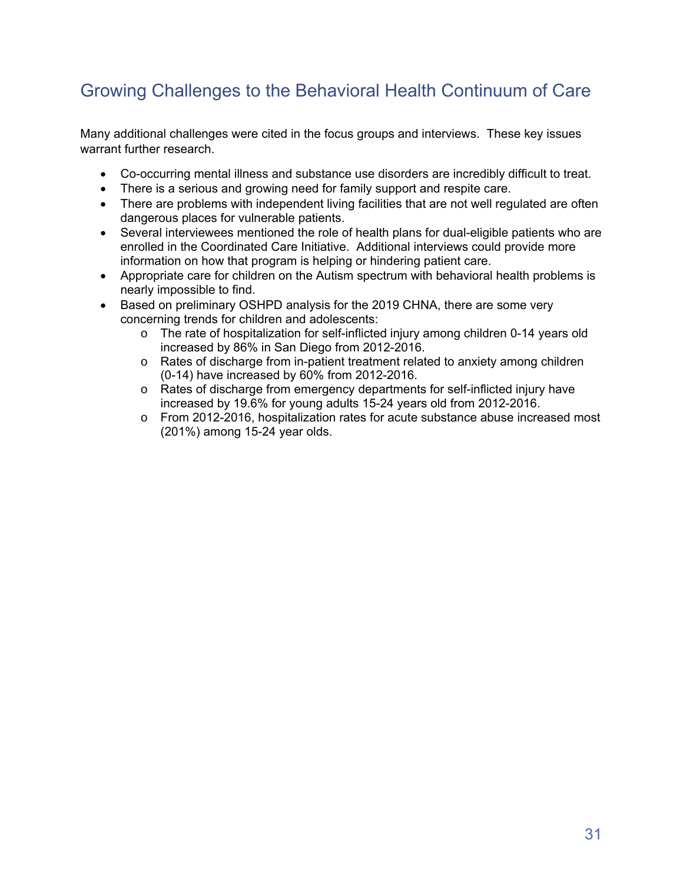# Growing Challenges to the Behavioral Health Continuum of Care

Many additional challenges were cited in the focus groups and interviews. These key issues warrant further research.

- Co-occurring mental illness and substance use disorders are incredibly difficult to treat.
- There is a serious and growing need for family support and respite care.
- There are problems with independent living facilities that are not well regulated are often dangerous places for vulnerable patients.
- Several interviewees mentioned the role of health plans for dual-eligible patients who are enrolled in the Coordinated Care Initiative. Additional interviews could provide more information on how that program is helping or hindering patient care.
- Appropriate care for children on the Autism spectrum with behavioral health problems is nearly impossible to find.
- Based on preliminary OSHPD analysis for the 2019 CHNA, there are some very concerning trends for children and adolescents:
	- o The rate of hospitalization for self-inflicted injury among children 0-14 years old increased by 86% in San Diego from 2012-2016.
	- $\circ$  Rates of discharge from in-patient treatment related to anxiety among children (0-14) have increased by 60% from 2012-2016.
	- o Rates of discharge from emergency departments for self-inflicted injury have increased by 19.6% for young adults 15-24 years old from 2012-2016.
	- o From 2012-2016, hospitalization rates for acute substance abuse increased most (201%) among 15-24 year olds.